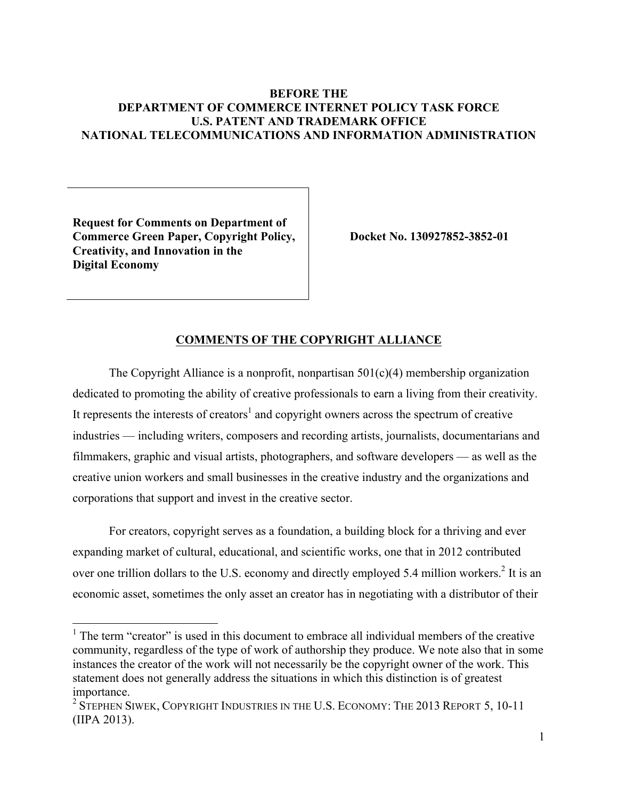## **BEFORE THE DEPARTMENT OF COMMERCE INTERNET POLICY TASK FORCE U.S. PATENT AND TRADEMARK OFFICE NATIONAL TELECOMMUNICATIONS AND INFORMATION ADMINISTRATION**

**Request for Comments on Department of Commerce Green Paper, Copyright Policy, Creativity, and Innovation in the Digital Economy**

**Docket No. 130927852-3852-01**

#### **COMMENTS OF THE COPYRIGHT ALLIANCE**

The Copyright Alliance is a nonprofit, nonpartisan  $501(c)(4)$  membership organization dedicated to promoting the ability of creative professionals to earn a living from their creativity. It represents the interests of creators<sup>1</sup> and copyright owners across the spectrum of creative industries — including writers, composers and recording artists, journalists, documentarians and filmmakers, graphic and visual artists, photographers, and software developers — as well as the creative union workers and small businesses in the creative industry and the organizations and corporations that support and invest in the creative sector.

For creators, copyright serves as a foundation, a building block for a thriving and ever expanding market of cultural, educational, and scientific works, one that in 2012 contributed over one trillion dollars to the U.S. economy and directly employed 5.4 million workers.<sup>2</sup> It is an economic asset, sometimes the only asset an creator has in negotiating with a distributor of their

<sup>&</sup>lt;sup>1</sup> The term "creator" is used in this document to embrace all individual members of the creative community, regardless of the type of work of authorship they produce. We note also that in some instances the creator of the work will not necessarily be the copyright owner of the work. This statement does not generally address the situations in which this distinction is of greatest importance.

<sup>&</sup>lt;sup>2</sup> STEPHEN SIWEK, COPYRIGHT INDUSTRIES IN THE U.S. ECONOMY: THE 2013 REPORT 5, 10-11 (IIPA 2013).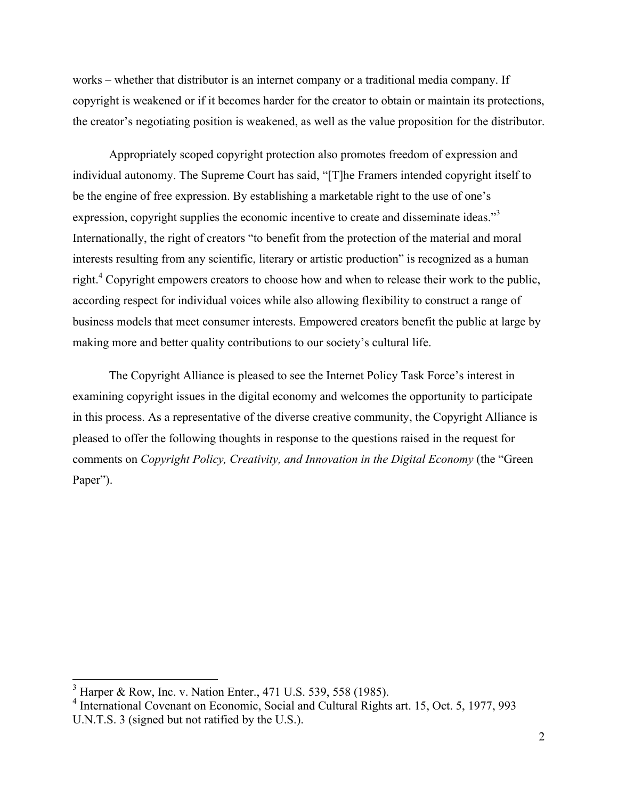works – whether that distributor is an internet company or a traditional media company. If copyright is weakened or if it becomes harder for the creator to obtain or maintain its protections, the creator's negotiating position is weakened, as well as the value proposition for the distributor.

Appropriately scoped copyright protection also promotes freedom of expression and individual autonomy. The Supreme Court has said, "[T]he Framers intended copyright itself to be the engine of free expression. By establishing a marketable right to the use of one's expression, copyright supplies the economic incentive to create and disseminate ideas."3 Internationally, the right of creators "to benefit from the protection of the material and moral interests resulting from any scientific, literary or artistic production" is recognized as a human right.<sup>4</sup> Copyright empowers creators to choose how and when to release their work to the public, according respect for individual voices while also allowing flexibility to construct a range of business models that meet consumer interests. Empowered creators benefit the public at large by making more and better quality contributions to our society's cultural life.

The Copyright Alliance is pleased to see the Internet Policy Task Force's interest in examining copyright issues in the digital economy and welcomes the opportunity to participate in this process. As a representative of the diverse creative community, the Copyright Alliance is pleased to offer the following thoughts in response to the questions raised in the request for comments on *Copyright Policy, Creativity, and Innovation in the Digital Economy* (the "Green Paper").

 <sup>3</sup> Harper & Row, Inc. v. Nation Enter., 471 U.S. 539, 558 (1985).

<sup>4</sup> International Covenant on Economic, Social and Cultural Rights art. 15, Oct. 5, 1977, 993 U.N.T.S. 3 (signed but not ratified by the U.S.).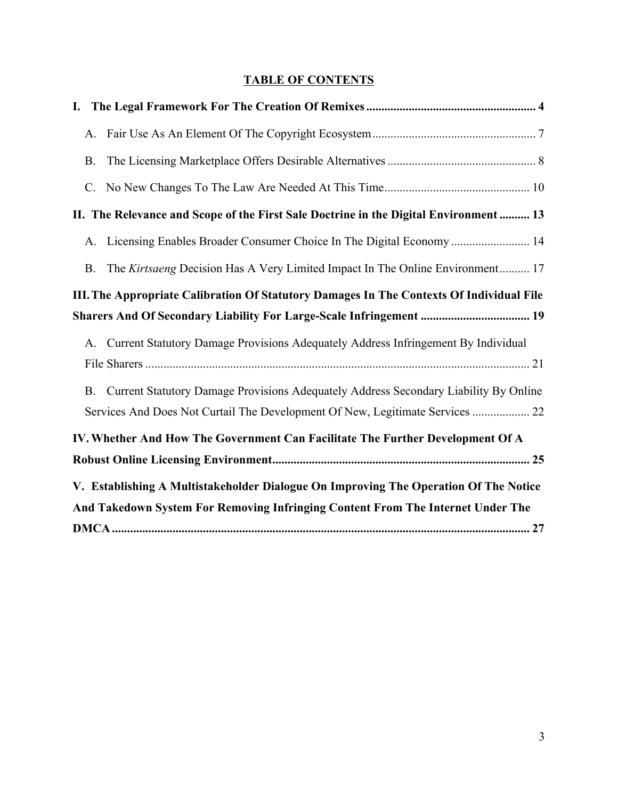# **TABLE OF CONTENTS**

| A.                                                                                                                                                                      |
|-------------------------------------------------------------------------------------------------------------------------------------------------------------------------|
| <b>B.</b>                                                                                                                                                               |
| $C_{\cdot}$                                                                                                                                                             |
| II. The Relevance and Scope of the First Sale Doctrine in the Digital Environment  13                                                                                   |
| A. Licensing Enables Broader Consumer Choice In The Digital Economy  14                                                                                                 |
| The Kirtsaeng Decision Has A Very Limited Impact In The Online Environment 17<br><b>B.</b>                                                                              |
| III. The Appropriate Calibration Of Statutory Damages In The Contexts Of Individual File                                                                                |
| Sharers And Of Secondary Liability For Large-Scale Infringement  19                                                                                                     |
| Current Statutory Damage Provisions Adequately Address Infringement By Individual<br>A.                                                                                 |
| Current Statutory Damage Provisions Adequately Address Secondary Liability By Online<br><b>B.</b>                                                                       |
| Services And Does Not Curtail The Development Of New, Legitimate Services  22                                                                                           |
| IV. Whether And How The Government Can Facilitate The Further Development Of A                                                                                          |
|                                                                                                                                                                         |
| V. Establishing A Multistakeholder Dialogue On Improving The Operation Of The Notice<br>And Takedown System For Removing Infringing Content From The Internet Under The |
|                                                                                                                                                                         |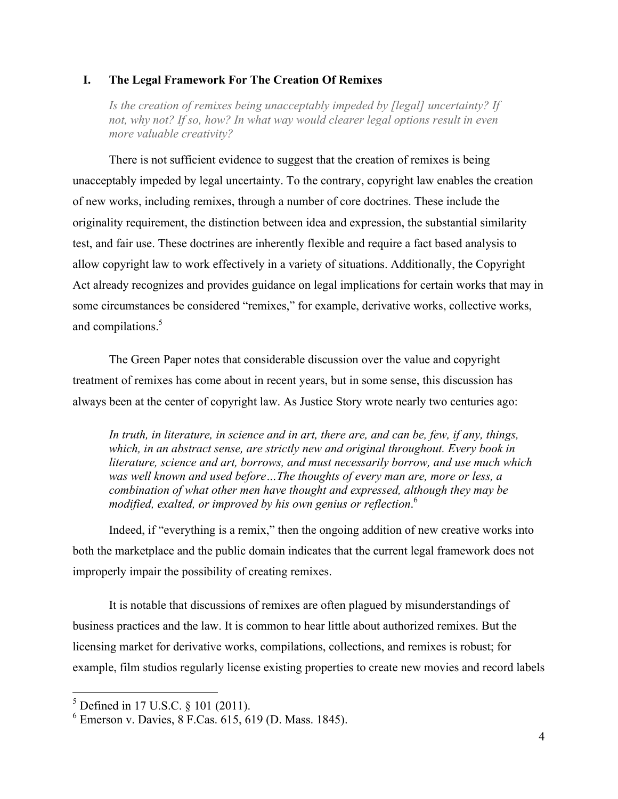## **I. The Legal Framework For The Creation Of Remixes**

*Is the creation of remixes being unacceptably impeded by [legal] uncertainty? If not, why not? If so, how? In what way would clearer legal options result in even more valuable creativity?*

There is not sufficient evidence to suggest that the creation of remixes is being unacceptably impeded by legal uncertainty. To the contrary, copyright law enables the creation of new works, including remixes, through a number of core doctrines. These include the originality requirement, the distinction between idea and expression, the substantial similarity test, and fair use. These doctrines are inherently flexible and require a fact based analysis to allow copyright law to work effectively in a variety of situations. Additionally, the Copyright Act already recognizes and provides guidance on legal implications for certain works that may in some circumstances be considered "remixes," for example, derivative works, collective works, and compilations.<sup>5</sup>

The Green Paper notes that considerable discussion over the value and copyright treatment of remixes has come about in recent years, but in some sense, this discussion has always been at the center of copyright law. As Justice Story wrote nearly two centuries ago:

*In truth, in literature, in science and in art, there are, and can be, few, if any, things, which, in an abstract sense, are strictly new and original throughout. Every book in literature, science and art, borrows, and must necessarily borrow, and use much which was well known and used before…The thoughts of every man are, more or less, a combination of what other men have thought and expressed, although they may be modified, exalted, or improved by his own genius or reflection*. 6

Indeed, if "everything is a remix," then the ongoing addition of new creative works into both the marketplace and the public domain indicates that the current legal framework does not improperly impair the possibility of creating remixes.

It is notable that discussions of remixes are often plagued by misunderstandings of business practices and the law. It is common to hear little about authorized remixes. But the licensing market for derivative works, compilations, collections, and remixes is robust; for example, film studios regularly license existing properties to create new movies and record labels

 $5$  Defined in 17 U.S.C.  $8$  101 (2011).

 $6$  Emerson v. Davies, 8 F.Cas. 615, 619 (D. Mass. 1845).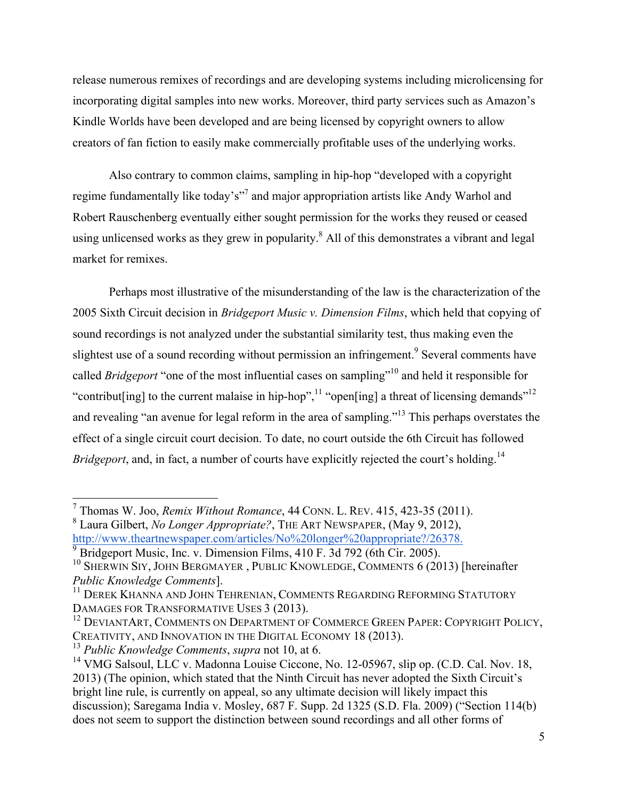release numerous remixes of recordings and are developing systems including microlicensing for incorporating digital samples into new works. Moreover, third party services such as Amazon's Kindle Worlds have been developed and are being licensed by copyright owners to allow creators of fan fiction to easily make commercially profitable uses of the underlying works.

Also contrary to common claims, sampling in hip-hop "developed with a copyright regime fundamentally like today's"7 and major appropriation artists like Andy Warhol and Robert Rauschenberg eventually either sought permission for the works they reused or ceased using unlicensed works as they grew in popularity.<sup>8</sup> All of this demonstrates a vibrant and legal market for remixes.

Perhaps most illustrative of the misunderstanding of the law is the characterization of the 2005 Sixth Circuit decision in *Bridgeport Music v. Dimension Films*, which held that copying of sound recordings is not analyzed under the substantial similarity test, thus making even the slightest use of a sound recording without permission an infringement.<sup>9</sup> Several comments have called *Bridgeport* "one of the most influential cases on sampling"<sup>10</sup> and held it responsible for "contribut [ing] to the current malaise in hip-hop",  $\frac{11}{11}$  "open[ing] a threat of licensing demands"<sup>12</sup> and revealing "an avenue for legal reform in the area of sampling."<sup>13</sup> This perhaps overstates the effect of a single circuit court decision. To date, no court outside the 6th Circuit has followed *Bridgeport*, and, in fact, a number of courts have explicitly rejected the court's holding.<sup>14</sup>

 <sup>7</sup> Thomas W. Joo, *Remix Without Romance*, 44 CONN. L. REV. 415, 423-35 (2011).

<sup>&</sup>lt;sup>8</sup> Laura Gilbert, *No Longer Appropriate?*, THE ART NEWSPAPER, (May 9, 2012), http://www.theartnewspaper.com/articles/No%20longer%20appropriate?/26378.

Bridgeport Music, Inc. v. Dimension Films, 410 F. 3d 792 (6th Cir. 2005).<br><sup>10</sup> SHERWIN SIY, JOHN BERGMAYER, PUBLIC KNOWLEDGE, COMMENTS 6 (2013) [hereinafter *Public Knowledge Comments*].

<sup>&</sup>lt;sup>11</sup> DEREK KHANNA AND JOHN TEHRENIAN, COMMENTS REGARDING REFORMING STATUTORY DAMAGES FOR TRANSFORMATIVE USES 3 (2013).

<sup>&</sup>lt;sup>12</sup> DEVIANTART, COMMENTS ON DEPARTMENT OF COMMERCE GREEN PAPER: COPYRIGHT POLICY, CREATIVITY, AND INNOVATION IN THE DIGITAL ECONOMY 18 (2013).

<sup>13</sup> *Public Knowledge Comments*, *supra* not 10, at 6.

<sup>&</sup>lt;sup>14</sup> VMG Salsoul, LLC v. Madonna Louise Ciccone, No. 12-05967, slip op. (C.D. Cal. Nov. 18, 2013) (The opinion, which stated that the Ninth Circuit has never adopted the Sixth Circuit's bright line rule, is currently on appeal, so any ultimate decision will likely impact this discussion); Saregama India v. Mosley, 687 F. Supp. 2d 1325 (S.D. Fla. 2009) ("Section 114(b) does not seem to support the distinction between sound recordings and all other forms of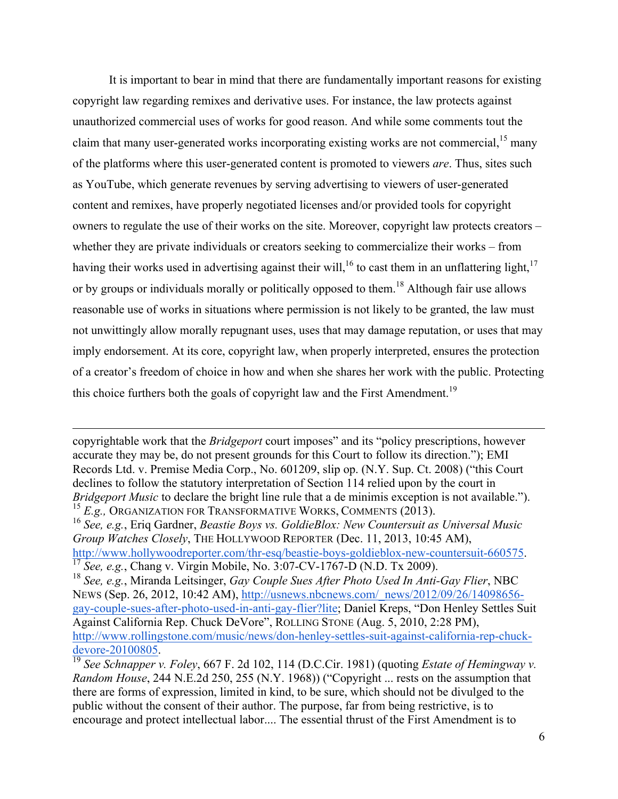It is important to bear in mind that there are fundamentally important reasons for existing copyright law regarding remixes and derivative uses. For instance, the law protects against unauthorized commercial uses of works for good reason. And while some comments tout the claim that many user-generated works incorporating existing works are not commercial,  $15$  many of the platforms where this user-generated content is promoted to viewers *are*. Thus, sites such as YouTube, which generate revenues by serving advertising to viewers of user-generated content and remixes, have properly negotiated licenses and/or provided tools for copyright owners to regulate the use of their works on the site. Moreover, copyright law protects creators – whether they are private individuals or creators seeking to commercialize their works – from having their works used in advertising against their will,<sup>16</sup> to cast them in an unflattering light,<sup>17</sup> or by groups or individuals morally or politically opposed to them.<sup>18</sup> Although fair use allows reasonable use of works in situations where permission is not likely to be granted, the law must not unwittingly allow morally repugnant uses, uses that may damage reputation, or uses that may imply endorsement. At its core, copyright law, when properly interpreted, ensures the protection of a creator's freedom of choice in how and when she shares her work with the public. Protecting this choice furthers both the goals of copyright law and the First Amendment.<sup>19</sup>

copyrightable work that the *Bridgeport* court imposes" and its "policy prescriptions, however accurate they may be, do not present grounds for this Court to follow its direction."); EMI Records Ltd. v. Premise Media Corp., No. 601209, slip op. (N.Y. Sup. Ct. 2008) ("this Court declines to follow the statutory interpretation of Section 114 relied upon by the court in *Bridgeport Music* to declare the bright line rule that a de minimis exception is not available."). <sup>15</sup> *E.g.,* ORGANIZATION FOR TRANSFORMATIVE WORKS, COMMENTS (2013).

<u> 1989 - Andrea Santa Andrea Santa Andrea Santa Andrea Santa Andrea Santa Andrea Santa Andrea Santa Andrea San</u>

<sup>16</sup> *See, e.g.*, Eriq Gardner, *Beastie Boys vs. GoldieBlox: New Countersuit as Universal Music Group Watches Closely*, THE HOLLYWOOD REPORTER (Dec. 11, 2013, 10:45 AM), http://www.hollywoodreporter.com/thr-esq/beastie-boys-goldieblox-new-countersuit-660575. <sup>17</sup> *See, e.g.*, Chang v. Virgin Mobile, No. 3:07-CV-1767-D (N.D. Tx 2009).

<sup>18</sup> *See, e.g.*, Miranda Leitsinger, *Gay Couple Sues After Photo Used In Anti-Gay Flier*, NBC NEWS (Sep. 26, 2012, 10:42 AM), http://usnews.nbcnews.com/\_news/2012/09/26/14098656 gay-couple-sues-after-photo-used-in-anti-gay-flier?lite; Daniel Kreps, "Don Henley Settles Suit Against California Rep. Chuck DeVore", ROLLING STONE (Aug. 5, 2010, 2:28 PM), http://www.rollingstone.com/music/news/don-henley-settles-suit-against-california-rep-chuckdevore-20100805. <sup>19</sup> *See Schnapper v. Foley*, 667 F. 2d 102, 114 (D.C.Cir. 1981) (quoting *Estate of Hemingway v.* 

*Random House*, 244 N.E.2d 250, 255 (N.Y. 1968)) ("Copyright ... rests on the assumption that there are forms of expression, limited in kind, to be sure, which should not be divulged to the public without the consent of their author. The purpose, far from being restrictive, is to encourage and protect intellectual labor.... The essential thrust of the First Amendment is to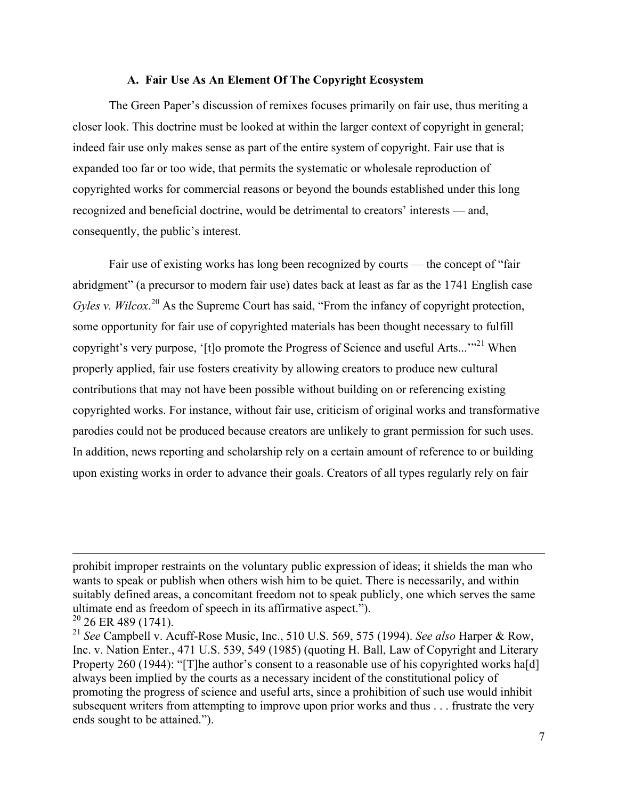#### **A. Fair Use As An Element Of The Copyright Ecosystem**

The Green Paper's discussion of remixes focuses primarily on fair use, thus meriting a closer look. This doctrine must be looked at within the larger context of copyright in general; indeed fair use only makes sense as part of the entire system of copyright. Fair use that is expanded too far or too wide, that permits the systematic or wholesale reproduction of copyrighted works for commercial reasons or beyond the bounds established under this long recognized and beneficial doctrine, would be detrimental to creators' interests — and, consequently, the public's interest.

Fair use of existing works has long been recognized by courts — the concept of "fair abridgment" (a precursor to modern fair use) dates back at least as far as the 1741 English case Gyles v. Wilcox.<sup>20</sup> As the Supreme Court has said, "From the infancy of copyright protection, some opportunity for fair use of copyrighted materials has been thought necessary to fulfill copyright's very purpose, '[t]o promote the Progress of Science and useful Arts...'"<sup>21</sup> When properly applied, fair use fosters creativity by allowing creators to produce new cultural contributions that may not have been possible without building on or referencing existing copyrighted works. For instance, without fair use, criticism of original works and transformative parodies could not be produced because creators are unlikely to grant permission for such uses. In addition, news reporting and scholarship rely on a certain amount of reference to or building upon existing works in order to advance their goals. Creators of all types regularly rely on fair

<u> 1989 - Andrea Santa Andrea Santa Andrea Santa Andrea Santa Andrea Santa Andrea Santa Andrea Santa Andrea San</u>

prohibit improper restraints on the voluntary public expression of ideas; it shields the man who wants to speak or publish when others wish him to be quiet. There is necessarily, and within suitably defined areas, a concomitant freedom not to speak publicly, one which serves the same ultimate end as freedom of speech in its affirmative aspect.").

 $20$  26 ER 489 (1741).

<sup>21</sup> *See* Campbell v. Acuff-Rose Music, Inc., 510 U.S. 569, 575 (1994). *See also* Harper & Row, Inc. v. Nation Enter., 471 U.S. 539, 549 (1985) (quoting H. Ball, Law of Copyright and Literary Property 260 (1944): "[T]he author's consent to a reasonable use of his copyrighted works ha[d] always been implied by the courts as a necessary incident of the constitutional policy of promoting the progress of science and useful arts, since a prohibition of such use would inhibit subsequent writers from attempting to improve upon prior works and thus . . . frustrate the very ends sought to be attained.").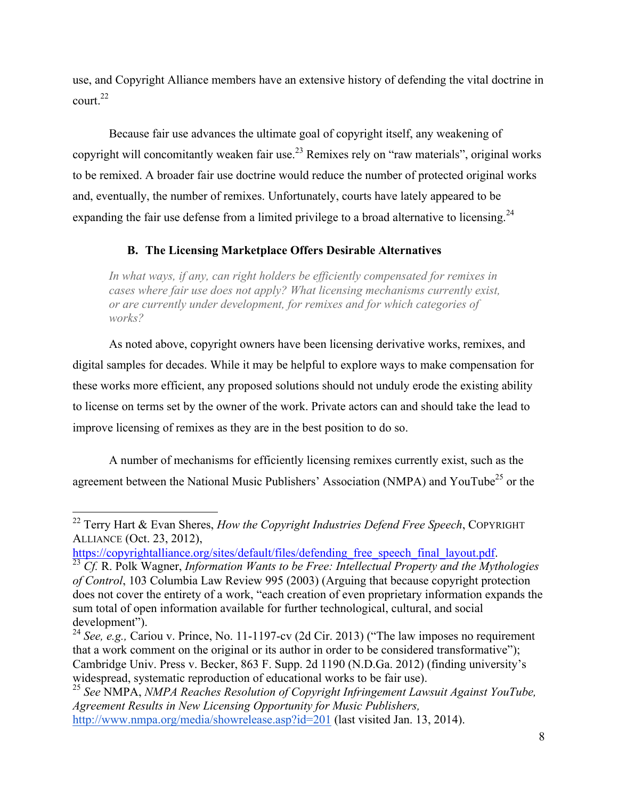use, and Copyright Alliance members have an extensive history of defending the vital doctrine in court.22

Because fair use advances the ultimate goal of copyright itself, any weakening of copyright will concomitantly weaken fair use.<sup>23</sup> Remixes rely on "raw materials", original works to be remixed. A broader fair use doctrine would reduce the number of protected original works and, eventually, the number of remixes. Unfortunately, courts have lately appeared to be expanding the fair use defense from a limited privilege to a broad alternative to licensing.<sup>24</sup>

## **B. The Licensing Marketplace Offers Desirable Alternatives**

*In what ways, if any, can right holders be efficiently compensated for remixes in cases where fair use does not apply? What licensing mechanisms currently exist, or are currently under development, for remixes and for which categories of works?*

As noted above, copyright owners have been licensing derivative works, remixes, and digital samples for decades. While it may be helpful to explore ways to make compensation for these works more efficient, any proposed solutions should not unduly erode the existing ability to license on terms set by the owner of the work. Private actors can and should take the lead to improve licensing of remixes as they are in the best position to do so.

A number of mechanisms for efficiently licensing remixes currently exist, such as the agreement between the National Music Publishers' Association (NMPA) and YouTube<sup>25</sup> or the

 <sup>22</sup> Terry Hart & Evan Sheres, *How the Copyright Industries Defend Free Speech*, COPYRIGHT ALLIANCE (Oct. 23, 2012),<br>https://copyrightalliance.org/sites/default/files/defending free speech final layout.pdf.

https://compyrightalliance.org/sites-default.org/sites/default.pdf. 23 *Cf.* R. Polk Wagner, *Information Wants to be Free: Intellectual Property and the Mythologies of Control*, 103 Columbia Law Review 995 (2003) (Arguing that because copyright protection does not cover the entirety of a work, "each creation of even proprietary information expands the sum total of open information available for further technological, cultural, and social development").

<sup>24</sup> *See, e.g.,* Cariou v. Prince, No. 11-1197-cv (2d Cir. 2013) ("The law imposes no requirement that a work comment on the original or its author in order to be considered transformative"); Cambridge Univ. Press v. Becker, 863 F. Supp. 2d 1190 (N.D.Ga. 2012) (finding university's

<sup>&</sup>lt;sup>25</sup> See NMPA, *NMPA Reaches Resolution of Copyright Infringement Lawsuit Against YouTube*, *Agreement Results in New Licensing Opportunity for Music Publishers,* http://www.nmpa.org/media/showrelease.asp?id=201 (last visited Jan. 13, 2014).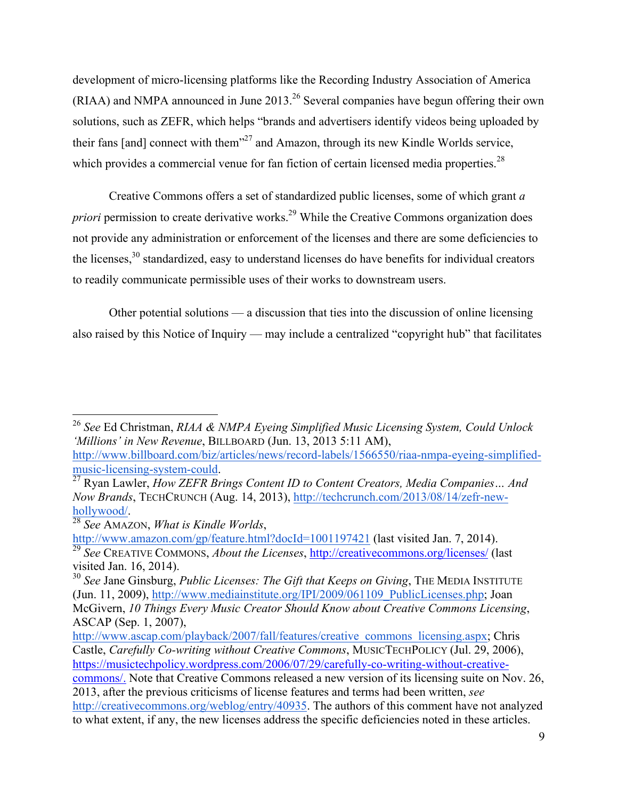development of micro-licensing platforms like the Recording Industry Association of America (RIAA) and NMPA announced in June 2013.<sup>26</sup> Several companies have begun offering their own solutions, such as ZEFR, which helps "brands and advertisers identify videos being uploaded by their fans [and] connect with them $^{27}$  and Amazon, through its new Kindle Worlds service, which provides a commercial venue for fan fiction of certain licensed media properties.<sup>28</sup>

Creative Commons offers a set of standardized public licenses, some of which grant *a priori* permission to create derivative works.<sup>29</sup> While the Creative Commons organization does not provide any administration or enforcement of the licenses and there are some deficiencies to the licenses, $30$  standardized, easy to understand licenses do have benefits for individual creators to readily communicate permissible uses of their works to downstream users.

Other potential solutions — a discussion that ties into the discussion of online licensing also raised by this Notice of Inquiry — may include a centralized "copyright hub" that facilitates

 <sup>26</sup> *See* Ed Christman, *RIAA & NMPA Eyeing Simplified Music Licensing System, Could Unlock 'Millions' in New Revenue*, BILLBOARD (Jun. 13, 2013 5:11 AM),

http://www.billboard.com/biz/articles/news/record-labels/1566550/riaa-nmpa-eyeing-simplifiedmusic-licensing-system-could. <sup>27</sup> Ryan Lawler, *How ZEFR Brings Content ID to Content Creators, Media Companies… And* 

*Now Brands*, TECHCRUNCH (Aug. 14, 2013), http://techcrunch.com/2013/08/14/zefr-newhollywood/. <sup>28</sup> *See* AMAZON, *What is Kindle Worlds*,

http://www.amazon.com/gp/feature.html?docId=1001197421 (last visited Jan. 7, 2014). <sup>29</sup> *See* CREATIVE COMMONS, *About the Licenses*, http://creativecommons.org/licenses/ (last visited Jan. 16, 2014).

<sup>30</sup> *See* Jane Ginsburg, *Public Licenses: The Gift that Keeps on Giving*, THE MEDIA INSTITUTE (Jun. 11, 2009), http://www.mediainstitute.org/IPI/2009/061109\_PublicLicenses.php; Joan McGivern, *10 Things Every Music Creator Should Know about Creative Commons Licensing*, ASCAP (Sep. 1, 2007),

http://www.ascap.com/playback/2007/fall/features/creative\_commons\_licensing.aspx; Chris Castle, *Carefully Co-writing without Creative Commons*, MUSICTECHPOLICY (Jul. 29, 2006), https://musictechpolicy.wordpress.com/2006/07/29/carefully-co-writing-without-creative-

commons/. Note that Creative Commons released a new version of its licensing suite on Nov. 26, 2013, after the previous criticisms of license features and terms had been written, *see* http://creativecommons.org/weblog/entry/40935. The authors of this comment have not analyzed to what extent, if any, the new licenses address the specific deficiencies noted in these articles.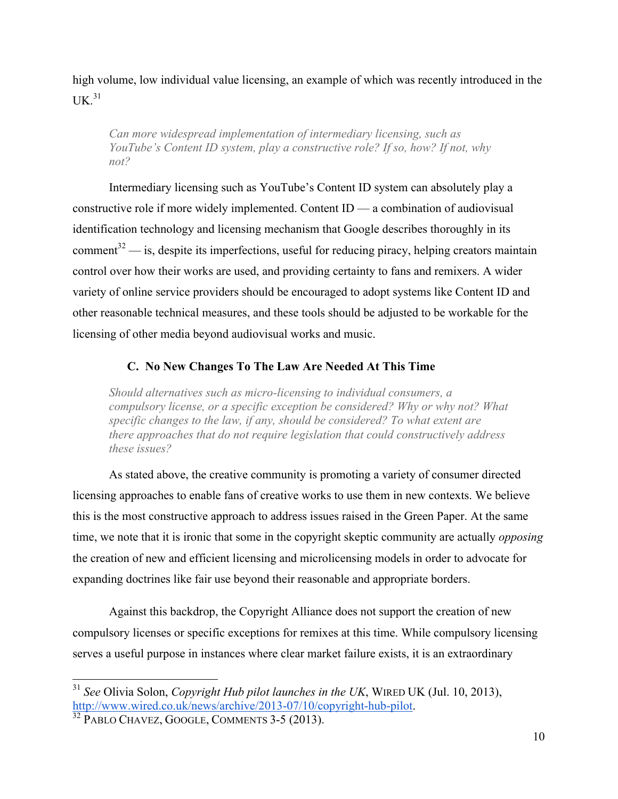high volume, low individual value licensing, an example of which was recently introduced in the  $IJK$ <sup>31</sup>

*Can more widespread implementation of intermediary licensing, such as YouTube's Content ID system, play a constructive role? If so, how? If not, why not?*

Intermediary licensing such as YouTube's Content ID system can absolutely play a constructive role if more widely implemented. Content ID — a combination of audiovisual identification technology and licensing mechanism that Google describes thoroughly in its comment $32$  — is, despite its imperfections, useful for reducing piracy, helping creators maintain control over how their works are used, and providing certainty to fans and remixers. A wider variety of online service providers should be encouraged to adopt systems like Content ID and other reasonable technical measures, and these tools should be adjusted to be workable for the licensing of other media beyond audiovisual works and music.

# **C. No New Changes To The Law Are Needed At This Time**

*Should alternatives such as micro-licensing to individual consumers, a compulsory license, or a specific exception be considered? Why or why not? What specific changes to the law, if any, should be considered? To what extent are there approaches that do not require legislation that could constructively address these issues?*

As stated above, the creative community is promoting a variety of consumer directed licensing approaches to enable fans of creative works to use them in new contexts. We believe this is the most constructive approach to address issues raised in the Green Paper. At the same time, we note that it is ironic that some in the copyright skeptic community are actually *opposing* the creation of new and efficient licensing and microlicensing models in order to advocate for expanding doctrines like fair use beyond their reasonable and appropriate borders.

Against this backdrop, the Copyright Alliance does not support the creation of new compulsory licenses or specific exceptions for remixes at this time. While compulsory licensing serves a useful purpose in instances where clear market failure exists, it is an extraordinary

 <sup>31</sup> *See* Olivia Solon, *Copyright Hub pilot launches in the UK*, WIRED UK (Jul. 10, 2013), http://www.wired.co.uk/news/archive/2013-07/10/copyright-hub-pilot.<br><sup>32</sup> PABLO CHAVEZ, GOOGLE, COMMENTS 3-5 (2013).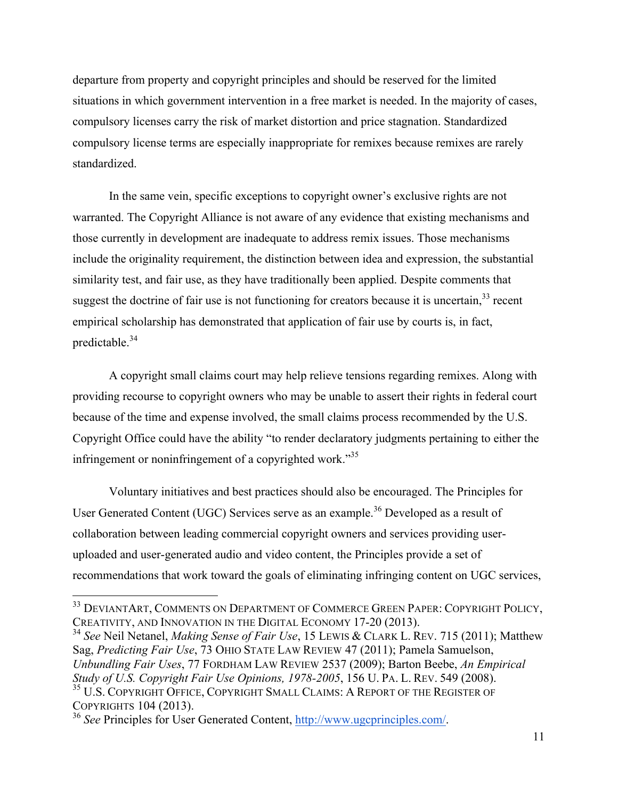departure from property and copyright principles and should be reserved for the limited situations in which government intervention in a free market is needed. In the majority of cases, compulsory licenses carry the risk of market distortion and price stagnation. Standardized compulsory license terms are especially inappropriate for remixes because remixes are rarely standardized.

In the same vein, specific exceptions to copyright owner's exclusive rights are not warranted. The Copyright Alliance is not aware of any evidence that existing mechanisms and those currently in development are inadequate to address remix issues. Those mechanisms include the originality requirement, the distinction between idea and expression, the substantial similarity test, and fair use, as they have traditionally been applied. Despite comments that suggest the doctrine of fair use is not functioning for creators because it is uncertain.<sup>33</sup> recent empirical scholarship has demonstrated that application of fair use by courts is, in fact, predictable.<sup>34</sup>

A copyright small claims court may help relieve tensions regarding remixes. Along with providing recourse to copyright owners who may be unable to assert their rights in federal court because of the time and expense involved, the small claims process recommended by the U.S. Copyright Office could have the ability "to render declaratory judgments pertaining to either the infringement or noninfringement of a copyrighted work."<sup>35</sup>

Voluntary initiatives and best practices should also be encouraged. The Principles for User Generated Content (UGC) Services serve as an example.<sup>36</sup> Developed as a result of collaboration between leading commercial copyright owners and services providing useruploaded and user-generated audio and video content, the Principles provide a set of recommendations that work toward the goals of eliminating infringing content on UGC services,

<sup>&</sup>lt;sup>33</sup> DEVIANTART, COMMENTS ON DEPARTMENT OF COMMERCE GREEN PAPER: COPYRIGHT POLICY, CREATIVITY, AND INNOVATION IN THE DIGITAL ECONOMY 17-20 (2013).

<sup>34</sup> *See* Neil Netanel, *Making Sense of Fair Use*, 15 LEWIS & CLARK L. REV. 715 (2011); Matthew Sag, *Predicting Fair Use*, 73 OHIO STATE LAW REVIEW 47 (2011); Pamela Samuelson, *Unbundling Fair Uses*, 77 FORDHAM LAW REVIEW 2537 (2009); Barton Beebe, *An Empirical Study of U.S. Copyright Fair Use Opinions, 1978-2005*, 156 U. PA. L. REV. 549 (2008). <sup>35</sup> U.S. COPYRIGHT OFFICE, COPYRIGHT SMALL CLAIMS: A REPORT OF THE REGISTER OF

COPYRIGHTS 104 (2013). <sup>36</sup> *See* Principles for User Generated Content, http://www.ugcprinciples.com/.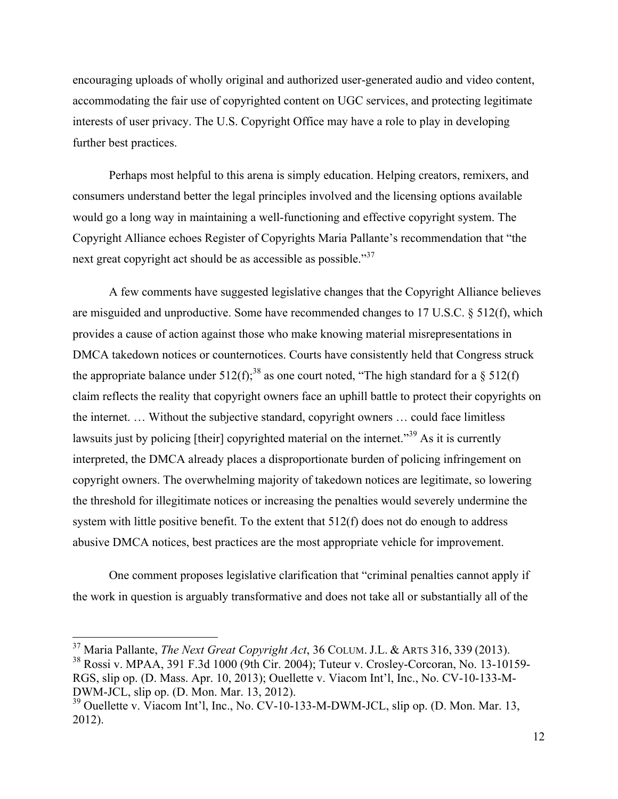encouraging uploads of wholly original and authorized user-generated audio and video content, accommodating the fair use of copyrighted content on UGC services, and protecting legitimate interests of user privacy. The U.S. Copyright Office may have a role to play in developing further best practices.

Perhaps most helpful to this arena is simply education. Helping creators, remixers, and consumers understand better the legal principles involved and the licensing options available would go a long way in maintaining a well-functioning and effective copyright system. The Copyright Alliance echoes Register of Copyrights Maria Pallante's recommendation that "the next great copyright act should be as accessible as possible."<sup>37</sup>

A few comments have suggested legislative changes that the Copyright Alliance believes are misguided and unproductive. Some have recommended changes to 17 U.S.C. § 512(f), which provides a cause of action against those who make knowing material misrepresentations in DMCA takedown notices or counternotices. Courts have consistently held that Congress struck the appropriate balance under  $512(f)$ ;<sup>38</sup> as one court noted, "The high standard for a  $\S$  512(f) claim reflects the reality that copyright owners face an uphill battle to protect their copyrights on the internet. … Without the subjective standard, copyright owners … could face limitless lawsuits just by policing [their] copyrighted material on the internet.<sup>39</sup> As it is currently interpreted, the DMCA already places a disproportionate burden of policing infringement on copyright owners. The overwhelming majority of takedown notices are legitimate, so lowering the threshold for illegitimate notices or increasing the penalties would severely undermine the system with little positive benefit. To the extent that 512(f) does not do enough to address abusive DMCA notices, best practices are the most appropriate vehicle for improvement.

One comment proposes legislative clarification that "criminal penalties cannot apply if the work in question is arguably transformative and does not take all or substantially all of the

<sup>&</sup>lt;sup>37</sup> Maria Pallante, *The Next Great Copyright Act*, 36 COLUM. J.L. & ARTS 316, 339 (2013).<br><sup>38</sup> Rossi v. MPAA, 391 F.3d 1000 (9th Cir. 2004); Tuteur v. Crosley-Corcoran, No. 13-10159-

RGS, slip op. (D. Mass. Apr. 10, 2013); Ouellette v. Viacom Int'l, Inc., No. CV-10-133-M-DWM-JCL, slip op. (D. Mon. Mar. 13, 2012).

 $39$  Ouellette v. Viacom Int'l, Inc., No. CV-10-133-M-DWM-JCL, slip op. (D. Mon. Mar. 13, 2012).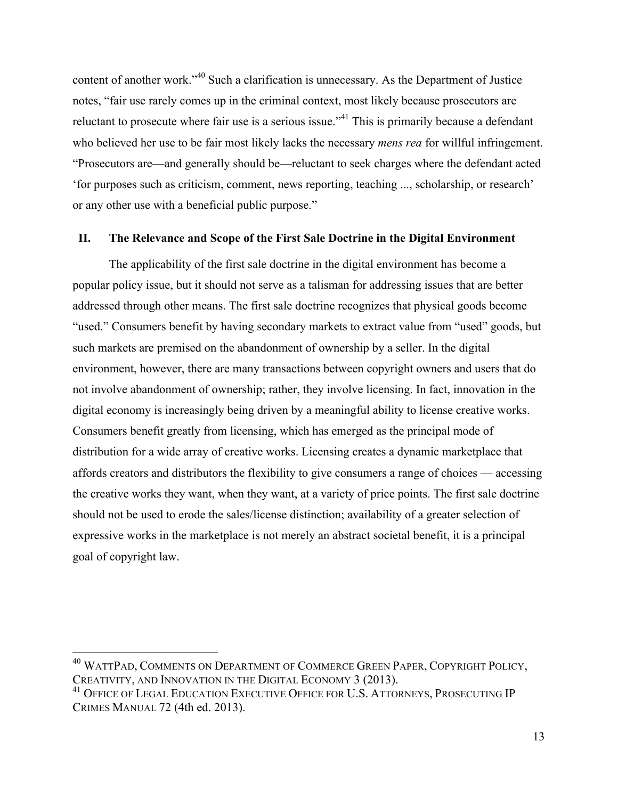content of another work."<sup>40</sup> Such a clarification is unnecessary. As the Department of Justice notes, "fair use rarely comes up in the criminal context, most likely because prosecutors are reluctant to prosecute where fair use is a serious issue."<sup>41</sup> This is primarily because a defendant who believed her use to be fair most likely lacks the necessary *mens rea* for willful infringement. "Prosecutors are—and generally should be—reluctant to seek charges where the defendant acted 'for purposes such as criticism, comment, news reporting, teaching ..., scholarship, or research' or any other use with a beneficial public purpose."

#### **II. The Relevance and Scope of the First Sale Doctrine in the Digital Environment**

The applicability of the first sale doctrine in the digital environment has become a popular policy issue, but it should not serve as a talisman for addressing issues that are better addressed through other means. The first sale doctrine recognizes that physical goods become "used." Consumers benefit by having secondary markets to extract value from "used" goods, but such markets are premised on the abandonment of ownership by a seller. In the digital environment, however, there are many transactions between copyright owners and users that do not involve abandonment of ownership; rather, they involve licensing. In fact, innovation in the digital economy is increasingly being driven by a meaningful ability to license creative works. Consumers benefit greatly from licensing, which has emerged as the principal mode of distribution for a wide array of creative works. Licensing creates a dynamic marketplace that affords creators and distributors the flexibility to give consumers a range of choices — accessing the creative works they want, when they want, at a variety of price points. The first sale doctrine should not be used to erode the sales/license distinction; availability of a greater selection of expressive works in the marketplace is not merely an abstract societal benefit, it is a principal goal of copyright law.

<sup>&</sup>lt;sup>40</sup> WATTPAD, COMMENTS ON DEPARTMENT OF COMMERCE GREEN PAPER, COPYRIGHT POLICY, CREATIVITY, AND INNOVATION IN THE DIGITAL ECONOMY 3 (2013).

<sup>&</sup>lt;sup>41</sup> OFFICE OF LEGAL EDUCATION EXECUTIVE OFFICE FOR U.S. ATTORNEYS, PROSECUTING IP CRIMES MANUAL 72 (4th ed. 2013).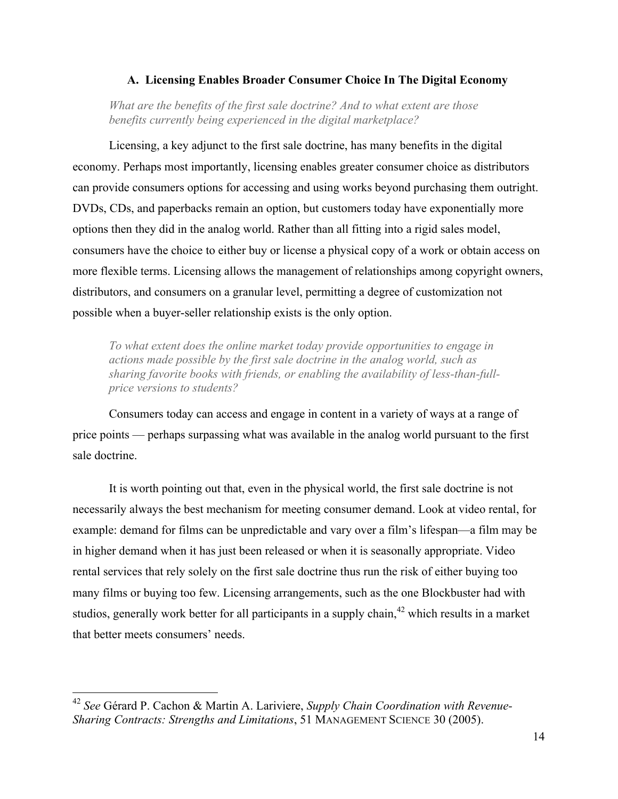#### **A. Licensing Enables Broader Consumer Choice In The Digital Economy**

*What are the benefits of the first sale doctrine? And to what extent are those benefits currently being experienced in the digital marketplace?*

Licensing, a key adjunct to the first sale doctrine, has many benefits in the digital economy. Perhaps most importantly, licensing enables greater consumer choice as distributors can provide consumers options for accessing and using works beyond purchasing them outright. DVDs, CDs, and paperbacks remain an option, but customers today have exponentially more options then they did in the analog world. Rather than all fitting into a rigid sales model, consumers have the choice to either buy or license a physical copy of a work or obtain access on more flexible terms. Licensing allows the management of relationships among copyright owners, distributors, and consumers on a granular level, permitting a degree of customization not possible when a buyer-seller relationship exists is the only option.

*To what extent does the online market today provide opportunities to engage in actions made possible by the first sale doctrine in the analog world, such as sharing favorite books with friends, or enabling the availability of less-than-fullprice versions to students?*

Consumers today can access and engage in content in a variety of ways at a range of price points — perhaps surpassing what was available in the analog world pursuant to the first sale doctrine.

It is worth pointing out that, even in the physical world, the first sale doctrine is not necessarily always the best mechanism for meeting consumer demand. Look at video rental, for example: demand for films can be unpredictable and vary over a film's lifespan—a film may be in higher demand when it has just been released or when it is seasonally appropriate. Video rental services that rely solely on the first sale doctrine thus run the risk of either buying too many films or buying too few. Licensing arrangements, such as the one Blockbuster had with studios, generally work better for all participants in a supply chain,<sup>42</sup> which results in a market that better meets consumers' needs.

 <sup>42</sup> *See* Gérard P. Cachon & Martin A. Lariviere, *Supply Chain Coordination with Revenue-Sharing Contracts: Strengths and Limitations*, 51 MANAGEMENT SCIENCE 30 (2005).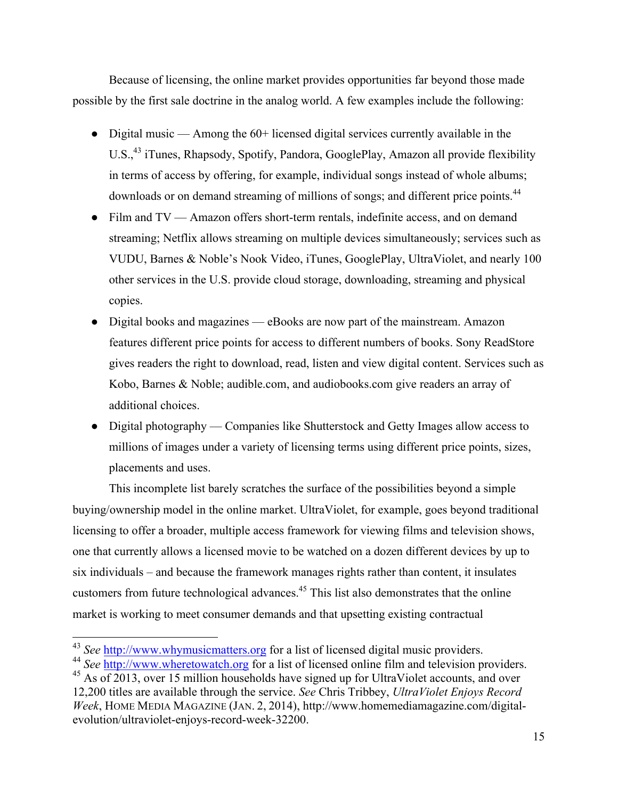Because of licensing, the online market provides opportunities far beyond those made possible by the first sale doctrine in the analog world. A few examples include the following:

- Digital music Among the 60+ licensed digital services currently available in the U.S.,<sup>43</sup> iTunes, Rhapsody, Spotify, Pandora, GooglePlay, Amazon all provide flexibility in terms of access by offering, for example, individual songs instead of whole albums; downloads or on demand streaming of millions of songs; and different price points.<sup>44</sup>
- Film and TV Amazon offers short-term rentals, indefinite access, and on demand streaming; Netflix allows streaming on multiple devices simultaneously; services such as VUDU, Barnes & Noble's Nook Video, iTunes, GooglePlay, UltraViolet, and nearly 100 other services in the U.S. provide cloud storage, downloading, streaming and physical copies.
- Digital books and magazines eBooks are now part of the mainstream. Amazon features different price points for access to different numbers of books. Sony ReadStore gives readers the right to download, read, listen and view digital content. Services such as Kobo, Barnes & Noble; audible.com, and audiobooks.com give readers an array of additional choices.
- Digital photography Companies like Shutterstock and Getty Images allow access to millions of images under a variety of licensing terms using different price points, sizes, placements and uses.

This incomplete list barely scratches the surface of the possibilities beyond a simple buying/ownership model in the online market. UltraViolet, for example, goes beyond traditional licensing to offer a broader, multiple access framework for viewing films and television shows, one that currently allows a licensed movie to be watched on a dozen different devices by up to six individuals – and because the framework manages rights rather than content, it insulates customers from future technological advances.45 This list also demonstrates that the online market is working to meet consumer demands and that upsetting existing contractual

 <sup>43</sup> *See* http://www.whymusicmatters.org for a list of licensed digital music providers.

<sup>44</sup> *See* http://www.wheretowatch.org for a list of licensed online film and television providers.

 $45$  As of 2013, over 15 million households have signed up for UltraViolet accounts, and over 12,200 titles are available through the service. *See* Chris Tribbey, *UltraViolet Enjoys Record Week*, HOME MEDIA MAGAZINE (JAN. 2, 2014), http://www.homemediamagazine.com/digitalevolution/ultraviolet-enjoys-record-week-32200.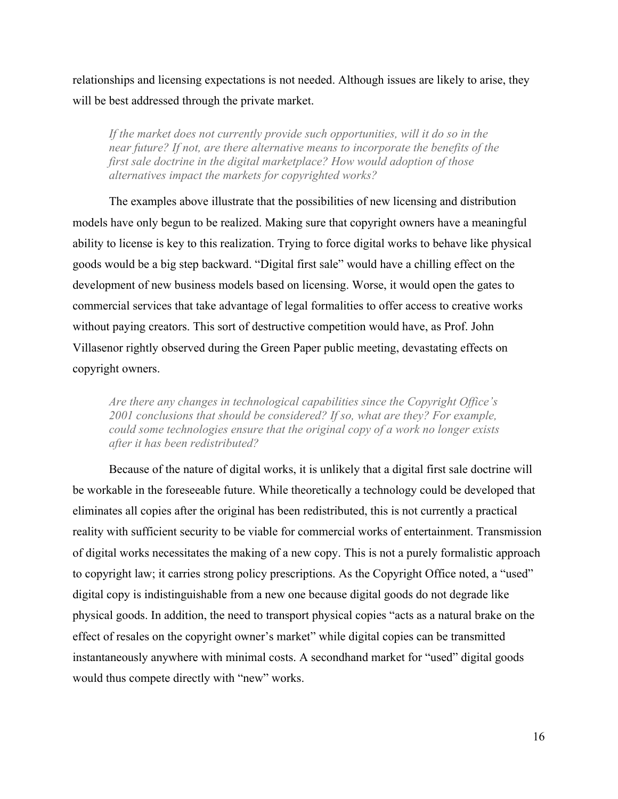relationships and licensing expectations is not needed. Although issues are likely to arise, they will be best addressed through the private market.

If the market does not currently provide such opportunities, will it do so in the *near future? If not, are there alternative means to incorporate the benefits of the first sale doctrine in the digital marketplace? How would adoption of those alternatives impact the markets for copyrighted works?*

The examples above illustrate that the possibilities of new licensing and distribution models have only begun to be realized. Making sure that copyright owners have a meaningful ability to license is key to this realization. Trying to force digital works to behave like physical goods would be a big step backward. "Digital first sale" would have a chilling effect on the development of new business models based on licensing. Worse, it would open the gates to commercial services that take advantage of legal formalities to offer access to creative works without paying creators. This sort of destructive competition would have, as Prof. John Villasenor rightly observed during the Green Paper public meeting, devastating effects on copyright owners.

*Are there any changes in technological capabilities since the Copyright Office's 2001 conclusions that should be considered? If so, what are they? For example, could some technologies ensure that the original copy of a work no longer exists after it has been redistributed?*

Because of the nature of digital works, it is unlikely that a digital first sale doctrine will be workable in the foreseeable future. While theoretically a technology could be developed that eliminates all copies after the original has been redistributed, this is not currently a practical reality with sufficient security to be viable for commercial works of entertainment. Transmission of digital works necessitates the making of a new copy. This is not a purely formalistic approach to copyright law; it carries strong policy prescriptions. As the Copyright Office noted, a "used" digital copy is indistinguishable from a new one because digital goods do not degrade like physical goods. In addition, the need to transport physical copies "acts as a natural brake on the effect of resales on the copyright owner's market" while digital copies can be transmitted instantaneously anywhere with minimal costs. A secondhand market for "used" digital goods would thus compete directly with "new" works.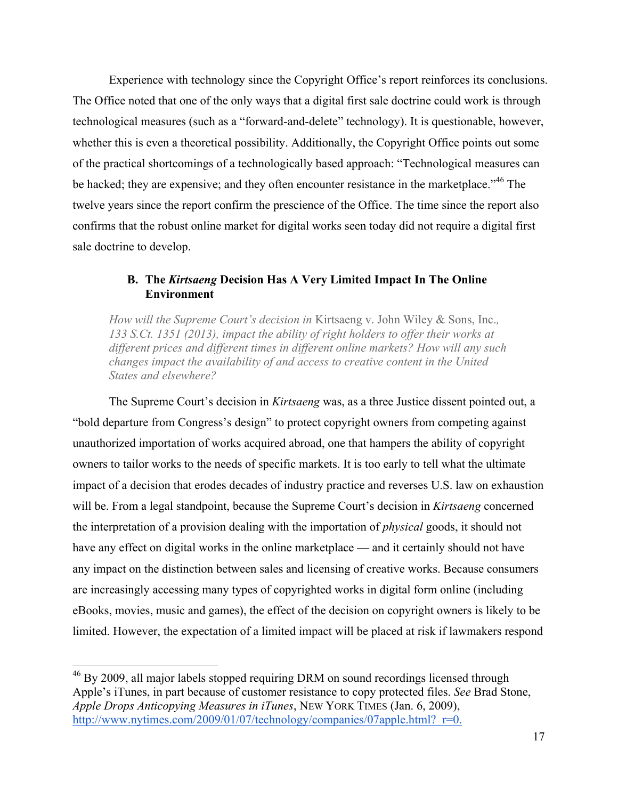Experience with technology since the Copyright Office's report reinforces its conclusions. The Office noted that one of the only ways that a digital first sale doctrine could work is through technological measures (such as a "forward-and-delete" technology). It is questionable, however, whether this is even a theoretical possibility. Additionally, the Copyright Office points out some of the practical shortcomings of a technologically based approach: "Technological measures can be hacked; they are expensive; and they often encounter resistance in the marketplace.<sup>346</sup> The twelve years since the report confirm the prescience of the Office. The time since the report also confirms that the robust online market for digital works seen today did not require a digital first sale doctrine to develop.

# **B. The** *Kirtsaeng* **Decision Has A Very Limited Impact In The Online Environment**

*How will the Supreme Court's decision in* Kirtsaeng v. John Wiley & Sons, Inc.*, 133 S.Ct. 1351 (2013), impact the ability of right holders to offer their works at different prices and different times in different online markets? How will any such changes impact the availability of and access to creative content in the United States and elsewhere?*

The Supreme Court's decision in *Kirtsaeng* was, as a three Justice dissent pointed out, a "bold departure from Congress's design" to protect copyright owners from competing against unauthorized importation of works acquired abroad, one that hampers the ability of copyright owners to tailor works to the needs of specific markets. It is too early to tell what the ultimate impact of a decision that erodes decades of industry practice and reverses U.S. law on exhaustion will be. From a legal standpoint, because the Supreme Court's decision in *Kirtsaeng* concerned the interpretation of a provision dealing with the importation of *physical* goods, it should not have any effect on digital works in the online marketplace — and it certainly should not have any impact on the distinction between sales and licensing of creative works. Because consumers are increasingly accessing many types of copyrighted works in digital form online (including eBooks, movies, music and games), the effect of the decision on copyright owners is likely to be limited. However, the expectation of a limited impact will be placed at risk if lawmakers respond

<sup>&</sup>lt;sup>46</sup> By 2009, all major labels stopped requiring DRM on sound recordings licensed through Apple's iTunes, in part because of customer resistance to copy protected files. *See* Brad Stone, *Apple Drops Anticopying Measures in iTunes*, NEW YORK TIMES (Jan. 6, 2009), http://www.nytimes.com/2009/01/07/technology/companies/07apple.html? r=0.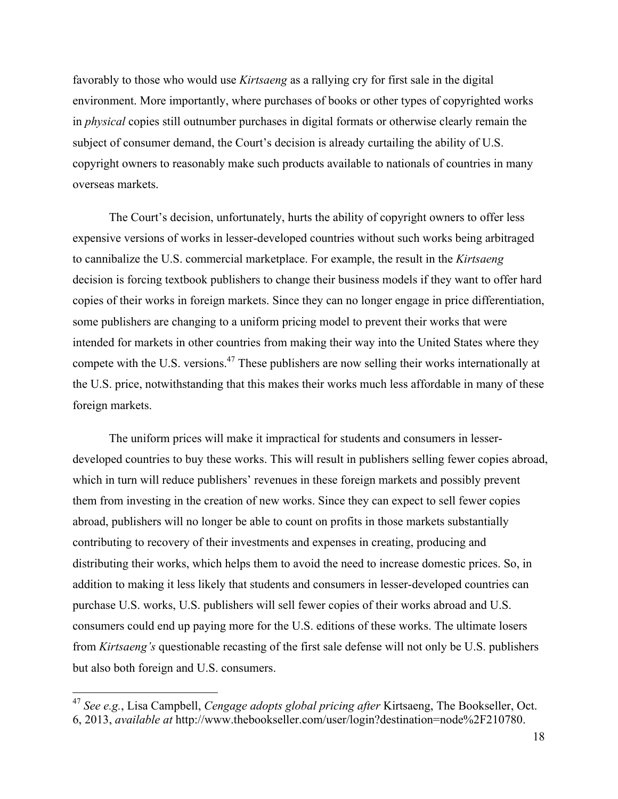favorably to those who would use *Kirtsaeng* as a rallying cry for first sale in the digital environment. More importantly, where purchases of books or other types of copyrighted works in *physical* copies still outnumber purchases in digital formats or otherwise clearly remain the subject of consumer demand, the Court's decision is already curtailing the ability of U.S. copyright owners to reasonably make such products available to nationals of countries in many overseas markets.

The Court's decision, unfortunately, hurts the ability of copyright owners to offer less expensive versions of works in lesser-developed countries without such works being arbitraged to cannibalize the U.S. commercial marketplace. For example, the result in the *Kirtsaeng* decision is forcing textbook publishers to change their business models if they want to offer hard copies of their works in foreign markets. Since they can no longer engage in price differentiation, some publishers are changing to a uniform pricing model to prevent their works that were intended for markets in other countries from making their way into the United States where they compete with the U.S. versions.<sup>47</sup> These publishers are now selling their works internationally at the U.S. price, notwithstanding that this makes their works much less affordable in many of these foreign markets.

The uniform prices will make it impractical for students and consumers in lesserdeveloped countries to buy these works. This will result in publishers selling fewer copies abroad, which in turn will reduce publishers' revenues in these foreign markets and possibly prevent them from investing in the creation of new works. Since they can expect to sell fewer copies abroad, publishers will no longer be able to count on profits in those markets substantially contributing to recovery of their investments and expenses in creating, producing and distributing their works, which helps them to avoid the need to increase domestic prices. So, in addition to making it less likely that students and consumers in lesser-developed countries can purchase U.S. works, U.S. publishers will sell fewer copies of their works abroad and U.S. consumers could end up paying more for the U.S. editions of these works. The ultimate losers from *Kirtsaeng's* questionable recasting of the first sale defense will not only be U.S. publishers but also both foreign and U.S. consumers.

 <sup>47</sup> *See e.g.*, Lisa Campbell, *Cengage adopts global pricing after* Kirtsaeng, The Bookseller, Oct. 6, 2013, *available at* http://www.thebookseller.com/user/login?destination=node%2F210780.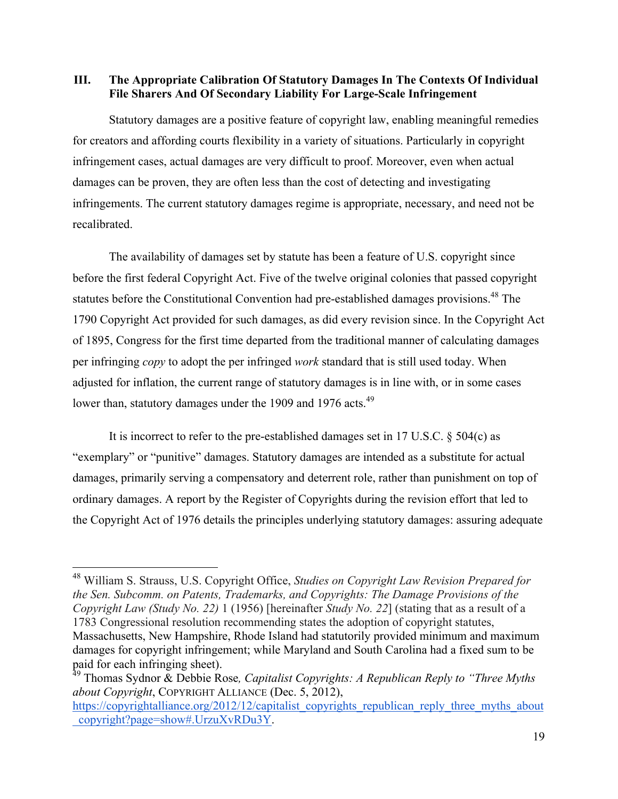## **III. The Appropriate Calibration Of Statutory Damages In The Contexts Of Individual File Sharers And Of Secondary Liability For Large-Scale Infringement**

Statutory damages are a positive feature of copyright law, enabling meaningful remedies for creators and affording courts flexibility in a variety of situations. Particularly in copyright infringement cases, actual damages are very difficult to proof. Moreover, even when actual damages can be proven, they are often less than the cost of detecting and investigating infringements. The current statutory damages regime is appropriate, necessary, and need not be recalibrated.

The availability of damages set by statute has been a feature of U.S. copyright since before the first federal Copyright Act. Five of the twelve original colonies that passed copyright statutes before the Constitutional Convention had pre-established damages provisions.<sup>48</sup> The 1790 Copyright Act provided for such damages, as did every revision since. In the Copyright Act of 1895, Congress for the first time departed from the traditional manner of calculating damages per infringing *copy* to adopt the per infringed *work* standard that is still used today. When adjusted for inflation, the current range of statutory damages is in line with, or in some cases lower than, statutory damages under the 1909 and 1976 acts.<sup>49</sup>

It is incorrect to refer to the pre-established damages set in 17 U.S.C. § 504(c) as "exemplary" or "punitive" damages. Statutory damages are intended as a substitute for actual damages, primarily serving a compensatory and deterrent role, rather than punishment on top of ordinary damages. A report by the Register of Copyrights during the revision effort that led to the Copyright Act of 1976 details the principles underlying statutory damages: assuring adequate

 <sup>48</sup> William S. Strauss, U.S. Copyright Office, *Studies on Copyright Law Revision Prepared for the Sen. Subcomm. on Patents, Trademarks, and Copyrights: The Damage Provisions of the Copyright Law (Study No. 22)* 1 (1956) [hereinafter *Study No. 22*] (stating that as a result of a 1783 Congressional resolution recommending states the adoption of copyright statutes, Massachusetts, New Hampshire, Rhode Island had statutorily provided minimum and maximum damages for copyright infringement; while Maryland and South Carolina had a fixed sum to be

paid for each infringing sheet).<br><sup>49</sup> Thomas Sydnor & Debbie Rose, *Capitalist Copyrights: A Republican Reply to "Three Myths about Copyright*, COPYRIGHT ALLIANCE (Dec. 5, 2012),

https://copyrightalliance.org/2012/12/capitalist\_copyrights\_republican\_reply\_three\_myths\_about \_copyright?page=show#.UrzuXvRDu3Y.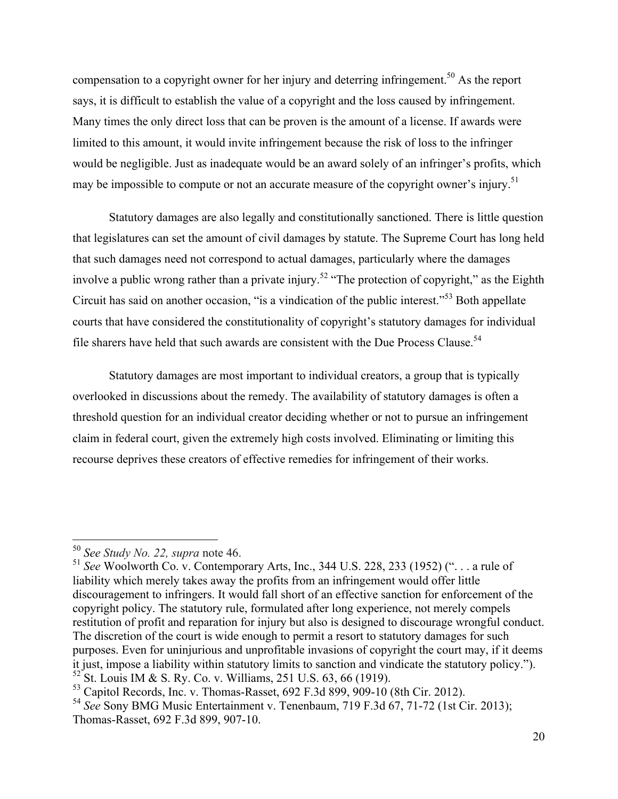compensation to a copyright owner for her injury and deterring infringement.<sup>50</sup> As the report says, it is difficult to establish the value of a copyright and the loss caused by infringement. Many times the only direct loss that can be proven is the amount of a license. If awards were limited to this amount, it would invite infringement because the risk of loss to the infringer would be negligible. Just as inadequate would be an award solely of an infringer's profits, which may be impossible to compute or not an accurate measure of the copyright owner's injury.<sup>51</sup>

Statutory damages are also legally and constitutionally sanctioned. There is little question that legislatures can set the amount of civil damages by statute. The Supreme Court has long held that such damages need not correspond to actual damages, particularly where the damages involve a public wrong rather than a private injury.<sup>52</sup> "The protection of copyright," as the Eighth Circuit has said on another occasion, "is a vindication of the public interest."<sup>53</sup> Both appellate courts that have considered the constitutionality of copyright's statutory damages for individual file sharers have held that such awards are consistent with the Due Process Clause.<sup>54</sup>

Statutory damages are most important to individual creators, a group that is typically overlooked in discussions about the remedy. The availability of statutory damages is often a threshold question for an individual creator deciding whether or not to pursue an infringement claim in federal court, given the extremely high costs involved. Eliminating or limiting this recourse deprives these creators of effective remedies for infringement of their works.

 <sup>50</sup> *See Study No. 22, supra* note 46.

<sup>51</sup> *See* Woolworth Co. v. Contemporary Arts, Inc., 344 U.S. 228, 233 (1952) (". . . a rule of liability which merely takes away the profits from an infringement would offer little discouragement to infringers. It would fall short of an effective sanction for enforcement of the copyright policy. The statutory rule, formulated after long experience, not merely compels restitution of profit and reparation for injury but also is designed to discourage wrongful conduct. The discretion of the court is wide enough to permit a resort to statutory damages for such purposes. Even for uninjurious and unprofitable invasions of copyright the court may, if it deems it just, impose a liability within statutory limits to sanction and vindicate the statutory policy.").  $52$  St. Louis IM & S. Ry. Co. v. Williams, 251 U.S. 63, 66 (1919).<br> $53$  Capitol Records, Inc. v. Thomas-Rasset, 692 F.3d 899, 909-10 (8th Cir. 2012).

<sup>&</sup>lt;sup>54</sup> See Sony BMG Music Entertainment v. Tenenbaum, 719 F.3d 67, 71-72 (1st Cir. 2013); Thomas-Rasset, 692 F.3d 899, 907-10.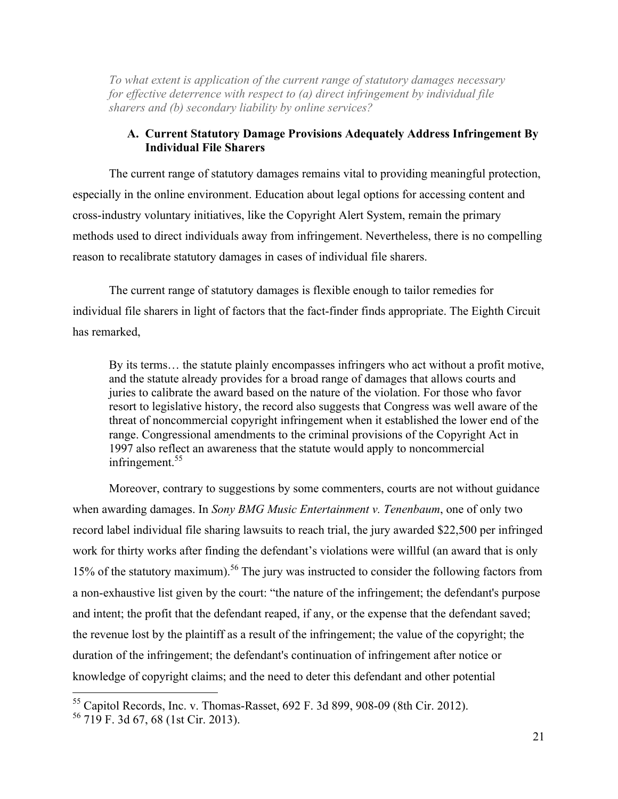*To what extent is application of the current range of statutory damages necessary for effective deterrence with respect to (a) direct infringement by individual file sharers and (b) secondary liability by online services?*

#### **A. Current Statutory Damage Provisions Adequately Address Infringement By Individual File Sharers**

The current range of statutory damages remains vital to providing meaningful protection, especially in the online environment. Education about legal options for accessing content and cross-industry voluntary initiatives, like the Copyright Alert System, remain the primary methods used to direct individuals away from infringement. Nevertheless, there is no compelling reason to recalibrate statutory damages in cases of individual file sharers.

The current range of statutory damages is flexible enough to tailor remedies for individual file sharers in light of factors that the fact-finder finds appropriate. The Eighth Circuit has remarked,

By its terms… the statute plainly encompasses infringers who act without a profit motive, and the statute already provides for a broad range of damages that allows courts and juries to calibrate the award based on the nature of the violation. For those who favor resort to legislative history, the record also suggests that Congress was well aware of the threat of noncommercial copyright infringement when it established the lower end of the range. Congressional amendments to the criminal provisions of the Copyright Act in 1997 also reflect an awareness that the statute would apply to noncommercial infringement. $55$ 

Moreover, contrary to suggestions by some commenters, courts are not without guidance when awarding damages. In *Sony BMG Music Entertainment v. Tenenbaum*, one of only two record label individual file sharing lawsuits to reach trial, the jury awarded \$22,500 per infringed work for thirty works after finding the defendant's violations were willful (an award that is only 15% of the statutory maximum).<sup>56</sup> The jury was instructed to consider the following factors from a non-exhaustive list given by the court: "the nature of the infringement; the defendant's purpose and intent; the profit that the defendant reaped, if any, or the expense that the defendant saved; the revenue lost by the plaintiff as a result of the infringement; the value of the copyright; the duration of the infringement; the defendant's continuation of infringement after notice or knowledge of copyright claims; and the need to deter this defendant and other potential

 <sup>55</sup> Capitol Records, Inc. v. Thomas-Rasset, 692 F. 3d 899, 908-09 (8th Cir. 2012).

<sup>56</sup> 719 F. 3d 67, 68 (1st Cir. 2013).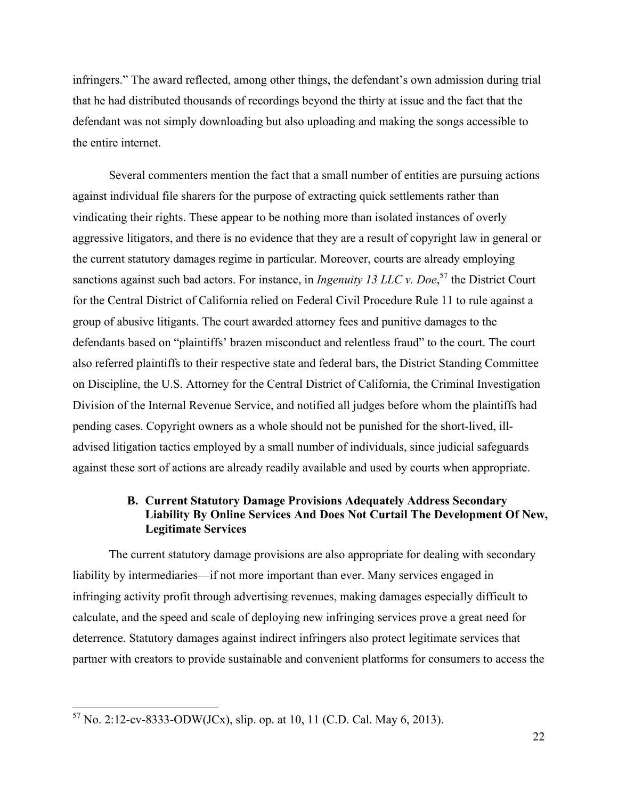infringers." The award reflected, among other things, the defendant's own admission during trial that he had distributed thousands of recordings beyond the thirty at issue and the fact that the defendant was not simply downloading but also uploading and making the songs accessible to the entire internet.

Several commenters mention the fact that a small number of entities are pursuing actions against individual file sharers for the purpose of extracting quick settlements rather than vindicating their rights. These appear to be nothing more than isolated instances of overly aggressive litigators, and there is no evidence that they are a result of copyright law in general or the current statutory damages regime in particular. Moreover, courts are already employing sanctions against such bad actors. For instance, in *Ingenuity 13 LLC v. Doe*, <sup>57</sup> the District Court for the Central District of California relied on Federal Civil Procedure Rule 11 to rule against a group of abusive litigants. The court awarded attorney fees and punitive damages to the defendants based on "plaintiffs' brazen misconduct and relentless fraud" to the court. The court also referred plaintiffs to their respective state and federal bars, the District Standing Committee on Discipline, the U.S. Attorney for the Central District of California, the Criminal Investigation Division of the Internal Revenue Service, and notified all judges before whom the plaintiffs had pending cases. Copyright owners as a whole should not be punished for the short-lived, illadvised litigation tactics employed by a small number of individuals, since judicial safeguards against these sort of actions are already readily available and used by courts when appropriate.

## **B. Current Statutory Damage Provisions Adequately Address Secondary Liability By Online Services And Does Not Curtail The Development Of New, Legitimate Services**

The current statutory damage provisions are also appropriate for dealing with secondary liability by intermediaries—if not more important than ever. Many services engaged in infringing activity profit through advertising revenues, making damages especially difficult to calculate, and the speed and scale of deploying new infringing services prove a great need for deterrence. Statutory damages against indirect infringers also protect legitimate services that partner with creators to provide sustainable and convenient platforms for consumers to access the

 $57$  No. 2:12-cv-8333-ODW(JCx), slip. op. at 10, 11 (C.D. Cal. May 6, 2013).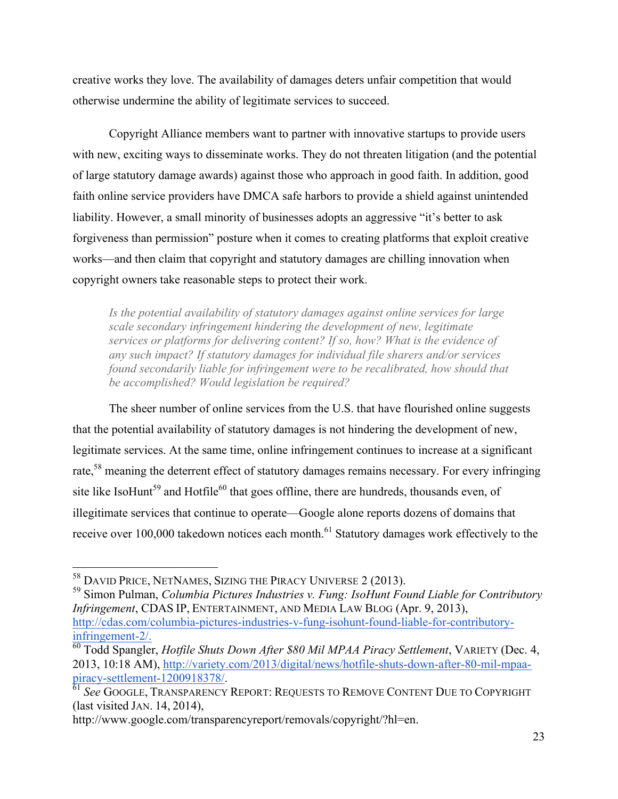creative works they love. The availability of damages deters unfair competition that would otherwise undermine the ability of legitimate services to succeed.

Copyright Alliance members want to partner with innovative startups to provide users with new, exciting ways to disseminate works. They do not threaten litigation (and the potential of large statutory damage awards) against those who approach in good faith. In addition, good faith online service providers have DMCA safe harbors to provide a shield against unintended liability. However, a small minority of businesses adopts an aggressive "it's better to ask forgiveness than permission" posture when it comes to creating platforms that exploit creative works—and then claim that copyright and statutory damages are chilling innovation when copyright owners take reasonable steps to protect their work.

*Is the potential availability of statutory damages against online services for large scale secondary infringement hindering the development of new, legitimate services or platforms for delivering content? If so, how? What is the evidence of any such impact? If statutory damages for individual file sharers and/or services found secondarily liable for infringement were to be recalibrated, how should that be accomplished? Would legislation be required?*

The sheer number of online services from the U.S. that have flourished online suggests that the potential availability of statutory damages is not hindering the development of new, legitimate services. At the same time, online infringement continues to increase at a significant rate,<sup>58</sup> meaning the deterrent effect of statutory damages remains necessary. For every infringing site like IsoHunt<sup>59</sup> and Hotfile<sup>60</sup> that goes offline, there are hundreds, thousands even, of illegitimate services that continue to operate—Google alone reports dozens of domains that receive over 100,000 takedown notices each month.<sup>61</sup> Statutory damages work effectively to the

 <sup>58</sup> DAVID PRICE, NETNAMES, SIZING THE PIRACY UNIVERSE 2 (2013). <sup>59</sup> Simon Pulman, *Columbia Pictures Industries v. Fung: IsoHunt Found Liable for Contributory Infringement*, CDAS IP, ENTERTAINMENT, AND MEDIA LAW BLOG (Apr. 9, 2013), http://cdas.com/columbia-pictures-industries-v-fung-isohunt-found-liable-for-contributoryinfringement-2/. <sup>60</sup> Todd Spangler, *Hotfile Shuts Down After \$80 Mil MPAA Piracy Settlement*, VARIETY (Dec. 4,

http://www.google.com/transparencyreport/removals/copyright/?hl=en.

<sup>2013, 10:18</sup> AM), http://variety.com/2013/digital/news/hotfile-shuts-down-after-80-mil-mpaa-<br>piracy-settlement-1200918378/.

 $\frac{1}{61}$  *See* Google, Transparency Report: Requests to Remove Content Due to Copyright (last visited JAN. 14, 2014),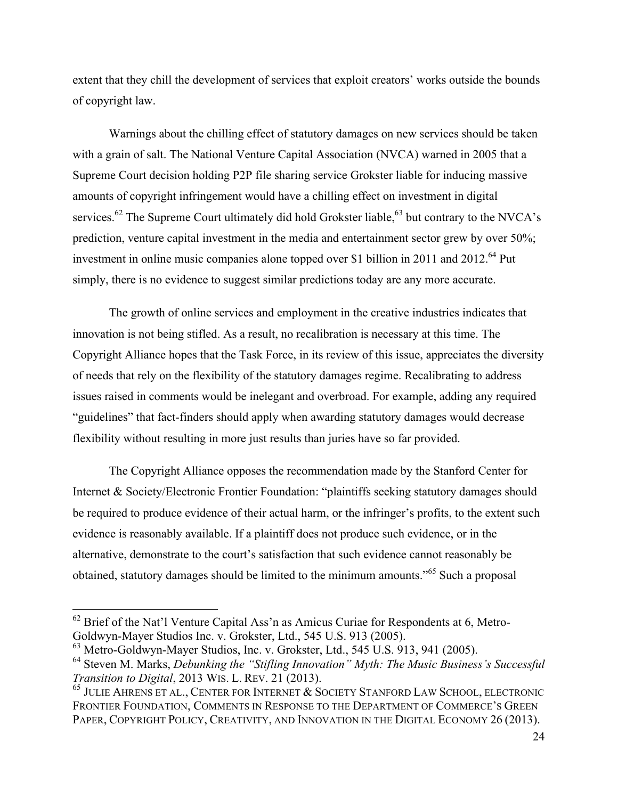extent that they chill the development of services that exploit creators' works outside the bounds of copyright law.

Warnings about the chilling effect of statutory damages on new services should be taken with a grain of salt. The National Venture Capital Association (NVCA) warned in 2005 that a Supreme Court decision holding P2P file sharing service Grokster liable for inducing massive amounts of copyright infringement would have a chilling effect on investment in digital services.<sup>62</sup> The Supreme Court ultimately did hold Grokster liable,<sup>63</sup> but contrary to the NVCA's prediction, venture capital investment in the media and entertainment sector grew by over 50%; investment in online music companies alone topped over \$1 billion in 2011 and 2012.<sup>64</sup> Put simply, there is no evidence to suggest similar predictions today are any more accurate.

The growth of online services and employment in the creative industries indicates that innovation is not being stifled. As a result, no recalibration is necessary at this time. The Copyright Alliance hopes that the Task Force, in its review of this issue, appreciates the diversity of needs that rely on the flexibility of the statutory damages regime. Recalibrating to address issues raised in comments would be inelegant and overbroad. For example, adding any required "guidelines" that fact-finders should apply when awarding statutory damages would decrease flexibility without resulting in more just results than juries have so far provided.

The Copyright Alliance opposes the recommendation made by the Stanford Center for Internet & Society/Electronic Frontier Foundation: "plaintiffs seeking statutory damages should be required to produce evidence of their actual harm, or the infringer's profits, to the extent such evidence is reasonably available. If a plaintiff does not produce such evidence, or in the alternative, demonstrate to the court's satisfaction that such evidence cannot reasonably be obtained, statutory damages should be limited to the minimum amounts."<sup>65</sup> Such a proposal

 $62$  Brief of the Nat'l Venture Capital Ass'n as Amicus Curiae for Respondents at 6, Metro-Goldwyn-Mayer Studios Inc. v. Grokster, Ltd., 545 U.S. 913 (2005).

 $63$  Metro-Goldwyn-Mayer Studios, Inc. v. Grokster, Ltd., 545 U.S. 913, 941 (2005).

<sup>&</sup>lt;sup>64</sup> Steven M. Marks, *Debunking the "Stifling Innovation" Myth: The Music Business's Successful Transition to Digital, 2013 WIS. L. REV. 21 (2013).* 

<sup>&</sup>lt;sup>65</sup> JULIE AHRENS ET AL., CENTER FOR INTERNET & SOCIETY STANFORD LAW SCHOOL, ELECTRONIC FRONTIER FOUNDATION, COMMENTS IN RESPONSE TO THE DEPARTMENT OF COMMERCE'S GREEN PAPER, COPYRIGHT POLICY, CREATIVITY, AND INNOVATION IN THE DIGITAL ECONOMY 26 (2013).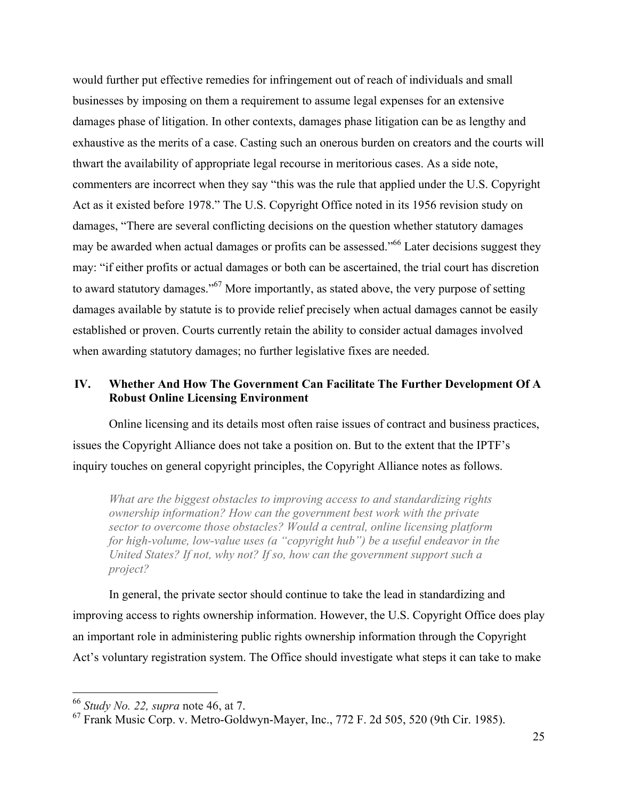would further put effective remedies for infringement out of reach of individuals and small businesses by imposing on them a requirement to assume legal expenses for an extensive damages phase of litigation. In other contexts, damages phase litigation can be as lengthy and exhaustive as the merits of a case. Casting such an onerous burden on creators and the courts will thwart the availability of appropriate legal recourse in meritorious cases. As a side note, commenters are incorrect when they say "this was the rule that applied under the U.S. Copyright Act as it existed before 1978." The U.S. Copyright Office noted in its 1956 revision study on damages, "There are several conflicting decisions on the question whether statutory damages may be awarded when actual damages or profits can be assessed."<sup>66</sup> Later decisions suggest they may: "if either profits or actual damages or both can be ascertained, the trial court has discretion to award statutory damages."<sup>67</sup> More importantly, as stated above, the very purpose of setting damages available by statute is to provide relief precisely when actual damages cannot be easily established or proven. Courts currently retain the ability to consider actual damages involved when awarding statutory damages; no further legislative fixes are needed.

## **IV. Whether And How The Government Can Facilitate The Further Development Of A Robust Online Licensing Environment**

Online licensing and its details most often raise issues of contract and business practices, issues the Copyright Alliance does not take a position on. But to the extent that the IPTF's inquiry touches on general copyright principles, the Copyright Alliance notes as follows.

*What are the biggest obstacles to improving access to and standardizing rights ownership information? How can the government best work with the private sector to overcome those obstacles? Would a central, online licensing platform for high-volume, low-value uses (a "copyright hub") be a useful endeavor in the United States? If not, why not? If so, how can the government support such a project?*

In general, the private sector should continue to take the lead in standardizing and improving access to rights ownership information. However, the U.S. Copyright Office does play an important role in administering public rights ownership information through the Copyright Act's voluntary registration system. The Office should investigate what steps it can take to make

 <sup>66</sup> *Study No. 22, supra* note 46, at 7.

<sup>67</sup> Frank Music Corp. v. Metro-Goldwyn-Mayer, Inc., 772 F. 2d 505, 520 (9th Cir. 1985).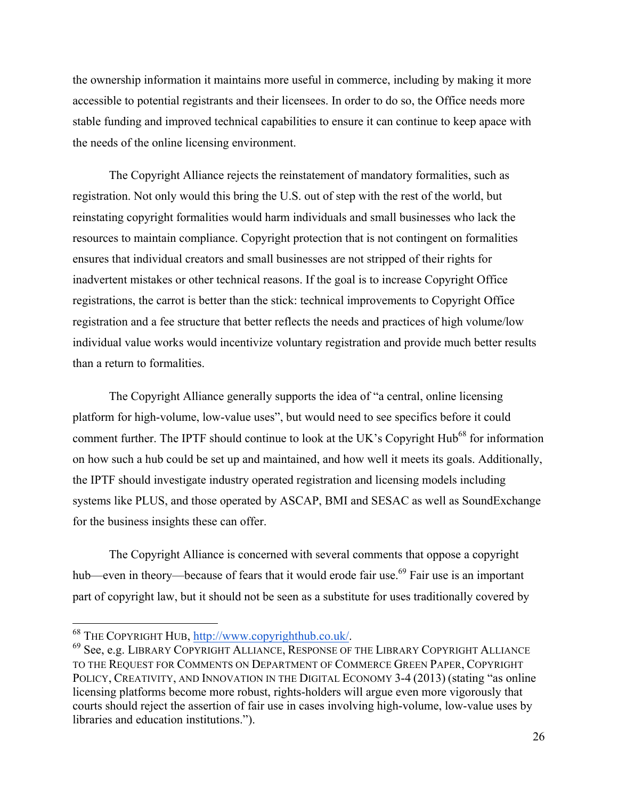the ownership information it maintains more useful in commerce, including by making it more accessible to potential registrants and their licensees. In order to do so, the Office needs more stable funding and improved technical capabilities to ensure it can continue to keep apace with the needs of the online licensing environment.

The Copyright Alliance rejects the reinstatement of mandatory formalities, such as registration. Not only would this bring the U.S. out of step with the rest of the world, but reinstating copyright formalities would harm individuals and small businesses who lack the resources to maintain compliance. Copyright protection that is not contingent on formalities ensures that individual creators and small businesses are not stripped of their rights for inadvertent mistakes or other technical reasons. If the goal is to increase Copyright Office registrations, the carrot is better than the stick: technical improvements to Copyright Office registration and a fee structure that better reflects the needs and practices of high volume/low individual value works would incentivize voluntary registration and provide much better results than a return to formalities.

The Copyright Alliance generally supports the idea of "a central, online licensing platform for high-volume, low-value uses", but would need to see specifics before it could comment further. The IPTF should continue to look at the UK's Copyright Hub<sup>68</sup> for information on how such a hub could be set up and maintained, and how well it meets its goals. Additionally, the IPTF should investigate industry operated registration and licensing models including systems like PLUS, and those operated by ASCAP, BMI and SESAC as well as SoundExchange for the business insights these can offer.

The Copyright Alliance is concerned with several comments that oppose a copyright hub—even in theory—because of fears that it would erode fair use.<sup>69</sup> Fair use is an important part of copyright law, but it should not be seen as a substitute for uses traditionally covered by

 $^{68}$  The Copyright Hub,  $\frac{http://www.copyrighthub.co.uk/}{69}$  See, e.g. LIBRARY COPYRIGHT ALLIANCE TO THE REQUEST FOR COMMENTS ON DEPARTMENT OF COMMERCE GREEN PAPER, COPYRIGHT POLICY, CREATIVITY, AND INNOVATION IN THE DIGITAL ECONOMY 3-4 (2013) (stating "as online licensing platforms become more robust, rights-holders will argue even more vigorously that courts should reject the assertion of fair use in cases involving high-volume, low-value uses by libraries and education institutions.").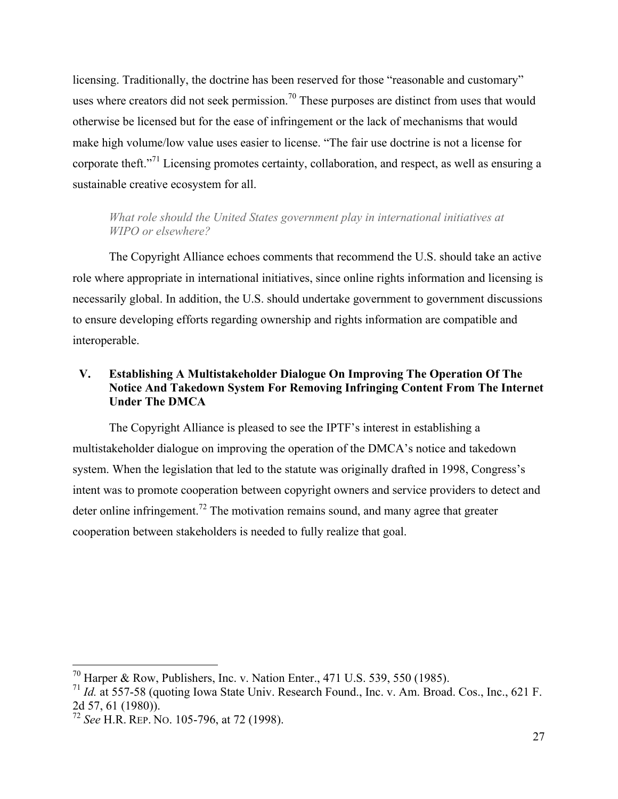licensing. Traditionally, the doctrine has been reserved for those "reasonable and customary" uses where creators did not seek permission.<sup>70</sup> These purposes are distinct from uses that would otherwise be licensed but for the ease of infringement or the lack of mechanisms that would make high volume/low value uses easier to license. "The fair use doctrine is not a license for corporate theft."<sup>71</sup> Licensing promotes certainty, collaboration, and respect, as well as ensuring a sustainable creative ecosystem for all.

## *What role should the United States government play in international initiatives at WIPO or elsewhere?*

The Copyright Alliance echoes comments that recommend the U.S. should take an active role where appropriate in international initiatives, since online rights information and licensing is necessarily global. In addition, the U.S. should undertake government to government discussions to ensure developing efforts regarding ownership and rights information are compatible and interoperable.

# **V. Establishing A Multistakeholder Dialogue On Improving The Operation Of The Notice And Takedown System For Removing Infringing Content From The Internet Under The DMCA**

The Copyright Alliance is pleased to see the IPTF's interest in establishing a multistakeholder dialogue on improving the operation of the DMCA's notice and takedown system. When the legislation that led to the statute was originally drafted in 1998, Congress's intent was to promote cooperation between copyright owners and service providers to detect and deter online infringement.<sup>72</sup> The motivation remains sound, and many agree that greater cooperation between stakeholders is needed to fully realize that goal.

<sup>&</sup>lt;sup>70</sup> Harper & Row, Publishers, Inc. v. Nation Enter., 471 U.S. 539, 550 (1985).

<sup>71</sup> *Id.* at 557-58 (quoting Iowa State Univ. Research Found., Inc. v. Am. Broad. Cos., Inc., 621 F. 2d 57, 61 (1980)). <sup>72</sup> *See* H.R. REP. NO. 105-796, at 72 (1998).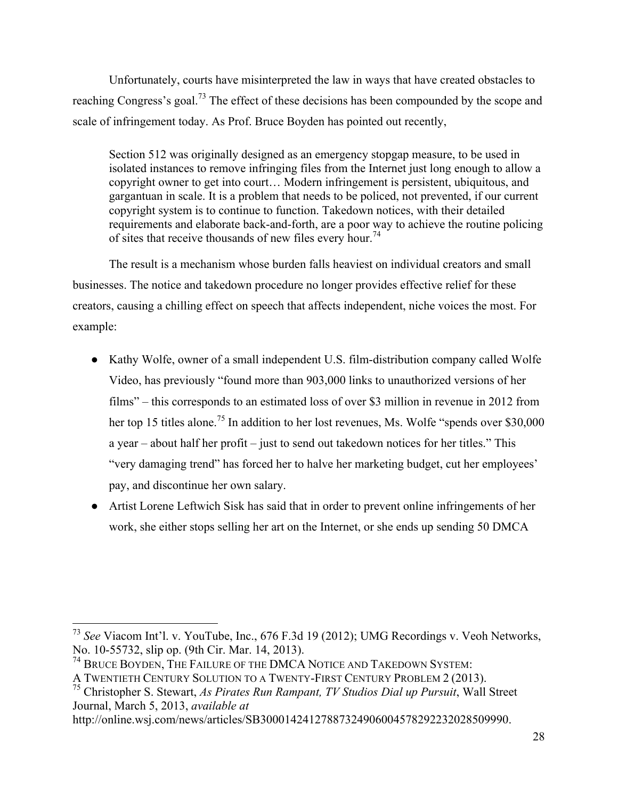Unfortunately, courts have misinterpreted the law in ways that have created obstacles to reaching Congress's goal.<sup>73</sup> The effect of these decisions has been compounded by the scope and scale of infringement today. As Prof. Bruce Boyden has pointed out recently,

Section 512 was originally designed as an emergency stopgap measure, to be used in isolated instances to remove infringing files from the Internet just long enough to allow a copyright owner to get into court… Modern infringement is persistent, ubiquitous, and gargantuan in scale. It is a problem that needs to be policed, not prevented, if our current copyright system is to continue to function. Takedown notices, with their detailed requirements and elaborate back-and-forth, are a poor way to achieve the routine policing of sites that receive thousands of new files every hour.<sup>74</sup>

The result is a mechanism whose burden falls heaviest on individual creators and small businesses. The notice and takedown procedure no longer provides effective relief for these creators, causing a chilling effect on speech that affects independent, niche voices the most. For example:

- Kathy Wolfe, owner of a small independent U.S. film-distribution company called Wolfe Video, has previously "found more than 903,000 links to unauthorized versions of her films" – this corresponds to an estimated loss of over \$3 million in revenue in 2012 from her top 15 titles alone.<sup>75</sup> In addition to her lost revenues, Ms. Wolfe "spends over \$30,000" a year – about half her profit – just to send out takedown notices for her titles." This "very damaging trend" has forced her to halve her marketing budget, cut her employees' pay, and discontinue her own salary.
- Artist Lorene Leftwich Sisk has said that in order to prevent online infringements of her work, she either stops selling her art on the Internet, or she ends up sending 50 DMCA

 <sup>73</sup> *See* Viacom Int'l. v. YouTube, Inc., 676 F.3d 19 (2012); UMG Recordings v. Veoh Networks, No. 10-55732, slip op. (9th Cir. Mar. 14, 2013).

<sup>&</sup>lt;sup>74</sup> BRUCE BOYDEN, THE FAILURE OF THE DMCA NOTICE AND TAKEDOWN SYSTEM:

A TWENTIETH CENTURY SOLUTION TO A TWENTY-FIRST CENTURY PROBLEM 2 (2013).

<sup>75</sup> Christopher S. Stewart, *As Pirates Run Rampant, TV Studios Dial up Pursuit*, Wall Street Journal, March 5, 2013, *available at*

http://online.wsj.com/news/articles/SB30001424127887324906004578292232028509990.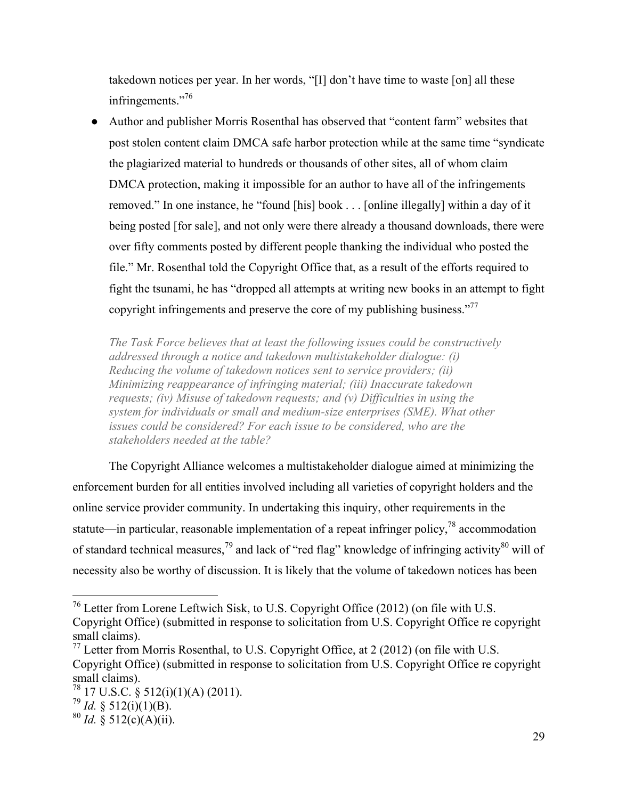takedown notices per year. In her words, "[I] don't have time to waste [on] all these infringements."<sup>76</sup>

● Author and publisher Morris Rosenthal has observed that "content farm" websites that post stolen content claim DMCA safe harbor protection while at the same time "syndicate the plagiarized material to hundreds or thousands of other sites, all of whom claim DMCA protection, making it impossible for an author to have all of the infringements removed." In one instance, he "found [his] book . . . [online illegally] within a day of it being posted [for sale], and not only were there already a thousand downloads, there were over fifty comments posted by different people thanking the individual who posted the file." Mr. Rosenthal told the Copyright Office that, as a result of the efforts required to fight the tsunami, he has "dropped all attempts at writing new books in an attempt to fight copyright infringements and preserve the core of my publishing business."<sup>77</sup>

*The Task Force believes that at least the following issues could be constructively addressed through a notice and takedown multistakeholder dialogue: (i) Reducing the volume of takedown notices sent to service providers; (ii) Minimizing reappearance of infringing material; (iii) Inaccurate takedown requests; (iv) Misuse of takedown requests; and (v) Difficulties in using the system for individuals or small and medium-size enterprises (SME). What other issues could be considered? For each issue to be considered, who are the stakeholders needed at the table?*

The Copyright Alliance welcomes a multistakeholder dialogue aimed at minimizing the enforcement burden for all entities involved including all varieties of copyright holders and the online service provider community. In undertaking this inquiry, other requirements in the statute—in particular, reasonable implementation of a repeat infringer policy,  $^{78}$  accommodation of standard technical measures,<sup>79</sup> and lack of "red flag" knowledge of infringing activity $^{80}$  will of necessity also be worthy of discussion. It is likely that the volume of takedown notices has been

 <sup>76</sup> Letter from Lorene Leftwich Sisk, to U.S. Copyright Office (2012) (on file with U.S. Copyright Office) (submitted in response to solicitation from U.S. Copyright Office re copyright small claims).

 $^{77}$  Letter from Morris Rosenthal, to U.S. Copyright Office, at 2 (2012) (on file with U.S. Copyright Office) (submitted in response to solicitation from U.S. Copyright Office re copyright small claims).

 $78 \over 78 \over 17$  U.S.C. § 512(i)(1)(A) (2011).<br> $79 \over 79 \over 16$ . § 512(i)(1)(B).

 $^{80}$  *Id.*  $\frac{8}{9}$  512(c)(A)(ii).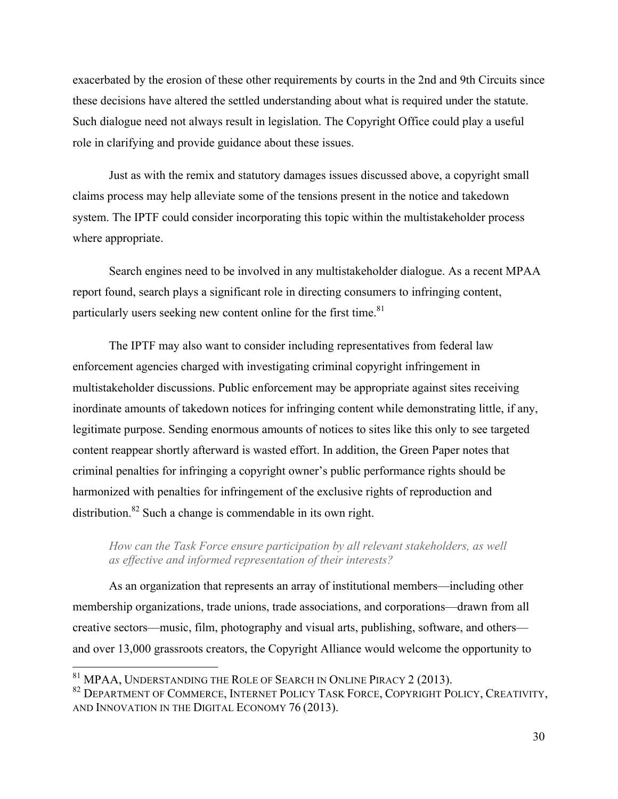exacerbated by the erosion of these other requirements by courts in the 2nd and 9th Circuits since these decisions have altered the settled understanding about what is required under the statute. Such dialogue need not always result in legislation. The Copyright Office could play a useful role in clarifying and provide guidance about these issues.

Just as with the remix and statutory damages issues discussed above, a copyright small claims process may help alleviate some of the tensions present in the notice and takedown system. The IPTF could consider incorporating this topic within the multistakeholder process where appropriate.

Search engines need to be involved in any multistakeholder dialogue. As a recent MPAA report found, search plays a significant role in directing consumers to infringing content, particularly users seeking new content online for the first time. $81$ 

The IPTF may also want to consider including representatives from federal law enforcement agencies charged with investigating criminal copyright infringement in multistakeholder discussions. Public enforcement may be appropriate against sites receiving inordinate amounts of takedown notices for infringing content while demonstrating little, if any, legitimate purpose. Sending enormous amounts of notices to sites like this only to see targeted content reappear shortly afterward is wasted effort. In addition, the Green Paper notes that criminal penalties for infringing a copyright owner's public performance rights should be harmonized with penalties for infringement of the exclusive rights of reproduction and distribution.<sup>82</sup> Such a change is commendable in its own right.

*How can the Task Force ensure participation by all relevant stakeholders, as well as effective and informed representation of their interests?*

As an organization that represents an array of institutional members—including other membership organizations, trade unions, trade associations, and corporations—drawn from all creative sectors—music, film, photography and visual arts, publishing, software, and others and over 13,000 grassroots creators, the Copyright Alliance would welcome the opportunity to

 $81$  MPAA, Understanding the Role of Search in Online Piracy 2 (2013).<br> $82$  Department of Commerce, Internet Policy Task Force, Copyright Policy, Creativity, AND INNOVATION IN THE DIGITAL ECONOMY 76 (2013).